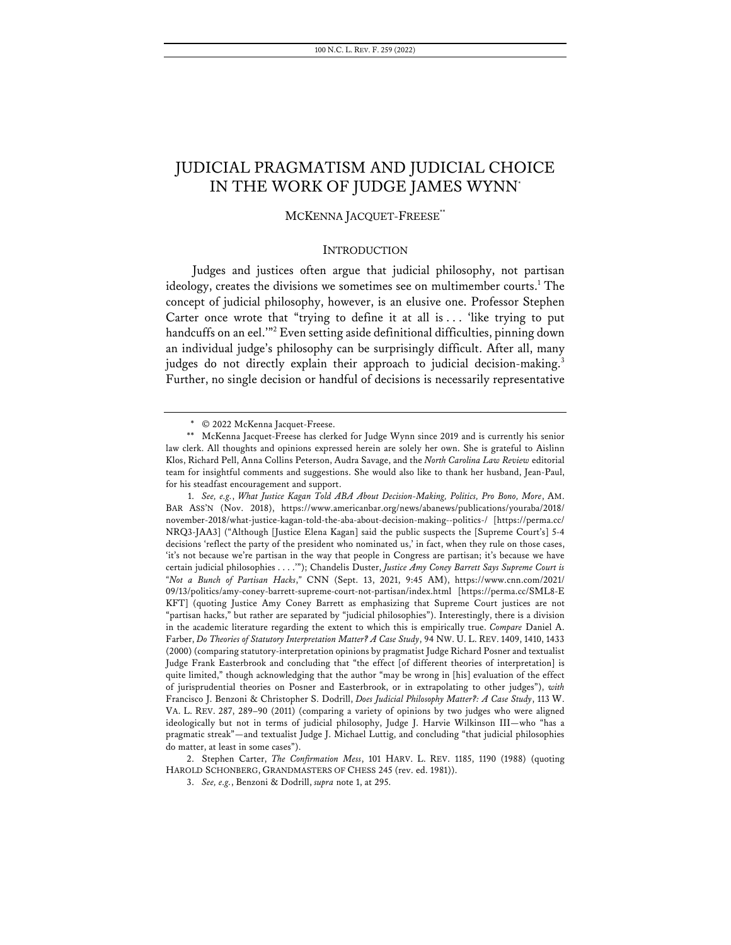# JUDICIAL PRAGMATISM AND JUDICIAL CHOICE IN THE WORK OF JUDGE JAMES WYNN\*

# MCKENNA JACQUET-FREESE\*\*

#### **INTRODUCTION**

Judges and justices often argue that judicial philosophy, not partisan ideology, creates the divisions we sometimes see on multimember courts.<sup>1</sup> The concept of judicial philosophy, however, is an elusive one. Professor Stephen Carter once wrote that "trying to define it at all is ... 'like trying to put handcuffs on an eel."<sup>2</sup> Even setting aside definitional difficulties, pinning down an individual judge's philosophy can be surprisingly difficult. After all, many judges do not directly explain their approach to judicial decision-making.<sup>3</sup> Further, no single decision or handful of decisions is necessarily representative

2. Stephen Carter, *The Confirmation Mess*, 101 HARV. L. REV. 1185, 1190 (1988) (quoting HAROLD SCHONBERG, GRANDMASTERS OF CHESS 245 (rev. ed. 1981)).

<sup>\*</sup> © 2022 McKenna Jacquet-Freese.

<sup>\*\*</sup> McKenna Jacquet-Freese has clerked for Judge Wynn since 2019 and is currently his senior law clerk. All thoughts and opinions expressed herein are solely her own. She is grateful to Aislinn Klos, Richard Pell, Anna Collins Peterson, Audra Savage, and the *North Carolina Law Review* editorial team for insightful comments and suggestions. She would also like to thank her husband, Jean-Paul, for his steadfast encouragement and support.

<sup>1.</sup> *See, e.g.*, *What Justice Kagan Told ABA About Decision-Making, Politics, Pro Bono, More*, AM. BAR ASS'N (Nov. 2018), https://www.americanbar.org/news/abanews/publications/youraba/2018/ november-2018/what-justice-kagan-told-the-aba-about-decision-making--politics-/ [https://perma.cc/ NRQ3-JAA3] ("Although [Justice Elena Kagan] said the public suspects the [Supreme Court's] 5-4 decisions 'reflect the party of the president who nominated us,' in fact, when they rule on those cases, 'it's not because we're partisan in the way that people in Congress are partisan; it's because we have certain judicial philosophies . . . .'"); Chandelis Duster, *Justice Amy Coney Barrett Says Supreme Court is "Not a Bunch of Partisan Hacks*,*"* CNN (Sept. 13, 2021, 9:45 AM), https://www.cnn.com/2021/ 09/13/politics/amy-coney-barrett-supreme-court-not-partisan/index.html [https://perma.cc/SML8-E KFT] (quoting Justice Amy Coney Barrett as emphasizing that Supreme Court justices are not "partisan hacks," but rather are separated by "judicial philosophies"). Interestingly, there is a division in the academic literature regarding the extent to which this is empirically true. *Compare* Daniel A. Farber, *Do Theories of Statutory Interpretation Matter? A Case Study*, 94 NW. U. L. REV. 1409, 1410, 1433 (2000) (comparing statutory-interpretation opinions by pragmatist Judge Richard Posner and textualist Judge Frank Easterbrook and concluding that "the effect [of different theories of interpretation] is quite limited," though acknowledging that the author "may be wrong in [his] evaluation of the effect of jurisprudential theories on Posner and Easterbrook, or in extrapolating to other judges"), *with* Francisco J. Benzoni & Christopher S. Dodrill, *Does Judicial Philosophy Matter?: A Case Study*, 113 W. VA. L. REV. 287, 289–90 (2011) (comparing a variety of opinions by two judges who were aligned ideologically but not in terms of judicial philosophy, Judge J. Harvie Wilkinson III—who "has a pragmatic streak"—and textualist Judge J. Michael Luttig, and concluding "that judicial philosophies do matter, at least in some cases").

<sup>3.</sup> *See, e.g.*, Benzoni & Dodrill, *supra* note 1, at 295.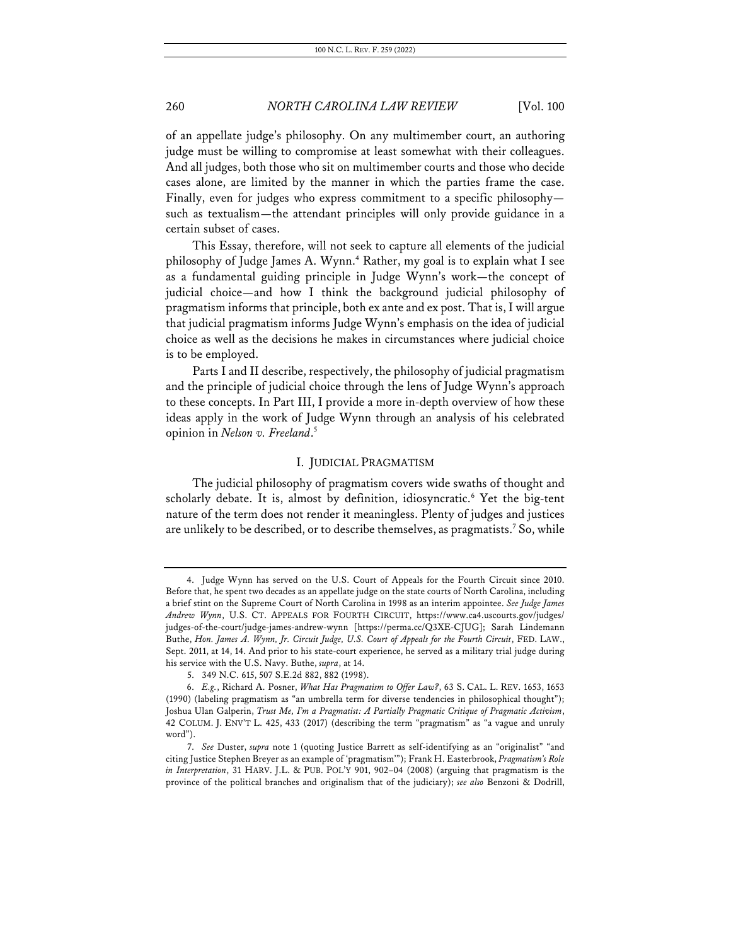of an appellate judge's philosophy. On any multimember court, an authoring judge must be willing to compromise at least somewhat with their colleagues. And all judges, both those who sit on multimember courts and those who decide cases alone, are limited by the manner in which the parties frame the case. Finally, even for judges who express commitment to a specific philosophy such as textualism—the attendant principles will only provide guidance in a certain subset of cases.

This Essay, therefore, will not seek to capture all elements of the judicial philosophy of Judge James A. Wynn.<sup>4</sup> Rather, my goal is to explain what I see as a fundamental guiding principle in Judge Wynn's work—the concept of judicial choice—and how I think the background judicial philosophy of pragmatism informs that principle, both ex ante and ex post. That is, I will argue that judicial pragmatism informs Judge Wynn's emphasis on the idea of judicial choice as well as the decisions he makes in circumstances where judicial choice is to be employed.

Parts I and II describe, respectively, the philosophy of judicial pragmatism and the principle of judicial choice through the lens of Judge Wynn's approach to these concepts. In Part III, I provide a more in-depth overview of how these ideas apply in the work of Judge Wynn through an analysis of his celebrated opinion in *Nelson v. Freeland*. 5

#### I. JUDICIAL PRAGMATISM

The judicial philosophy of pragmatism covers wide swaths of thought and scholarly debate. It is, almost by definition, idiosyncratic.<sup>6</sup> Yet the big-tent nature of the term does not render it meaningless. Plenty of judges and justices are unlikely to be described, or to describe themselves, as pragmatists.<sup>7</sup> So, while

<sup>4.</sup> Judge Wynn has served on the U.S. Court of Appeals for the Fourth Circuit since 2010. Before that, he spent two decades as an appellate judge on the state courts of North Carolina, including a brief stint on the Supreme Court of North Carolina in 1998 as an interim appointee. *See Judge James Andrew Wynn*, U.S. CT. APPEALS FOR FOURTH CIRCUIT, https://www.ca4.uscourts.gov/judges/ judges-of-the-court/judge-james-andrew-wynn [https://perma.cc/Q3XE-CJUG]; Sarah Lindemann Buthe, *Hon. James A. Wynn, Jr. Circuit Judge, U.S. Court of Appeals for the Fourth Circuit*, FED. LAW., Sept. 2011, at 14, 14. And prior to his state-court experience, he served as a military trial judge during his service with the U.S. Navy. Buthe, *supra*, at 14.

<sup>5.</sup> 349 N.C. 615, 507 S.E.2d 882, 882 (1998).

<sup>6.</sup> *E.g.*, Richard A. Posner, *What Has Pragmatism to Offer Law?*, 63 S. CAL. L. REV. 1653, 1653 (1990) (labeling pragmatism as "an umbrella term for diverse tendencies in philosophical thought"); Joshua Ulan Galperin, *Trust Me, I'm a Pragmatist: A Partially Pragmatic Critique of Pragmatic Activism*, 42 COLUM. J. ENV'T L. 425, 433 (2017) (describing the term "pragmatism" as "a vague and unruly word").

<sup>7.</sup> *See* Duster, *supra* note 1 (quoting Justice Barrett as self-identifying as an "originalist" "and citing Justice Stephen Breyer as an example of 'pragmatism'"); Frank H. Easterbrook, *Pragmatism's Role in Interpretation*, 31 HARV. J.L. & PUB. POL'Y 901, 902–04 (2008) (arguing that pragmatism is the province of the political branches and originalism that of the judiciary); *see also* Benzoni & Dodrill,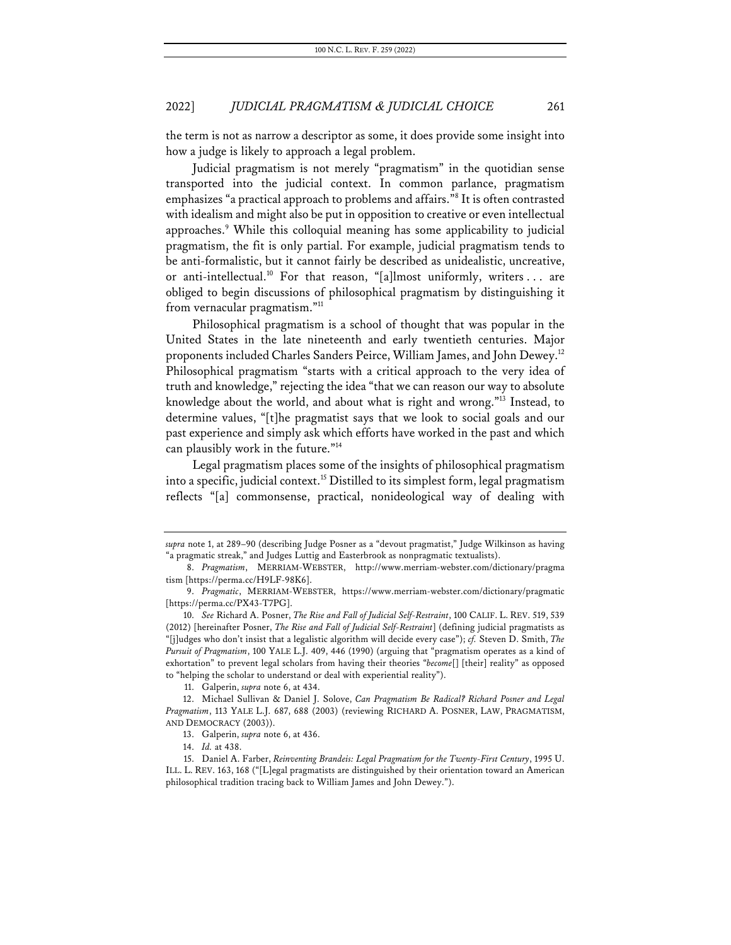the term is not as narrow a descriptor as some, it does provide some insight into how a judge is likely to approach a legal problem.

Judicial pragmatism is not merely "pragmatism" in the quotidian sense transported into the judicial context. In common parlance, pragmatism emphasizes "a practical approach to problems and affairs."8 It is often contrasted with idealism and might also be put in opposition to creative or even intellectual approaches.<sup>9</sup> While this colloquial meaning has some applicability to judicial pragmatism, the fit is only partial. For example, judicial pragmatism tends to be anti-formalistic, but it cannot fairly be described as unidealistic, uncreative, or anti-intellectual.<sup>10</sup> For that reason, "[a]lmost uniformly, writers . . . are obliged to begin discussions of philosophical pragmatism by distinguishing it from vernacular pragmatism."11

Philosophical pragmatism is a school of thought that was popular in the United States in the late nineteenth and early twentieth centuries. Major proponents included Charles Sanders Peirce, William James, and John Dewey.12 Philosophical pragmatism "starts with a critical approach to the very idea of truth and knowledge," rejecting the idea "that we can reason our way to absolute knowledge about the world, and about what is right and wrong."13 Instead, to determine values, "[t]he pragmatist says that we look to social goals and our past experience and simply ask which efforts have worked in the past and which can plausibly work in the future."<sup>14</sup>

Legal pragmatism places some of the insights of philosophical pragmatism into a specific, judicial context.15 Distilled to its simplest form, legal pragmatism reflects "[a] commonsense, practical, nonideological way of dealing with

*supra* note 1, at 289–90 (describing Judge Posner as a "devout pragmatist," Judge Wilkinson as having "a pragmatic streak," and Judges Luttig and Easterbrook as nonpragmatic textualists).

<sup>8.</sup> *Pragmatism*, MERRIAM-WEBSTER, http://www.merriam-webster.com/dictionary/pragma tism [https://perma.cc/H9LF-98K6].

<sup>9.</sup> *Pragmatic*, MERRIAM-WEBSTER, https://www.merriam-webster.com/dictionary/pragmatic [https://perma.cc/PX43-T7PG].

<sup>10.</sup> *See* Richard A. Posner, *The Rise and Fall of Judicial Self-Restraint*, 100 CALIF. L. REV. 519, 539 (2012) [hereinafter Posner, *The Rise and Fall of Judicial Self-Restraint*] (defining judicial pragmatists as "[j]udges who don't insist that a legalistic algorithm will decide every case"); *cf.* Steven D. Smith, *The Pursuit of Pragmatism*, 100 YALE L.J. 409, 446 (1990) (arguing that "pragmatism operates as a kind of exhortation" to prevent legal scholars from having their theories "*become*[] [their] reality" as opposed to "helping the scholar to understand or deal with experiential reality").

<sup>11.</sup> Galperin, *supra* note 6, at 434.

<sup>12.</sup> Michael Sullivan & Daniel J. Solove, *Can Pragmatism Be Radical? Richard Posner and Legal Pragmatism*, 113 YALE L.J. 687, 688 (2003) (reviewing RICHARD A. POSNER, LAW, PRAGMATISM, AND DEMOCRACY (2003)).

<sup>13.</sup> Galperin, *supra* note 6, at 436.

<sup>14.</sup> *Id.* at 438.

<sup>15.</sup> Daniel A. Farber, *Reinventing Brandeis: Legal Pragmatism for the Twenty-First Century*, 1995 U. ILL. L. REV. 163, 168 ("[L]egal pragmatists are distinguished by their orientation toward an American philosophical tradition tracing back to William James and John Dewey.").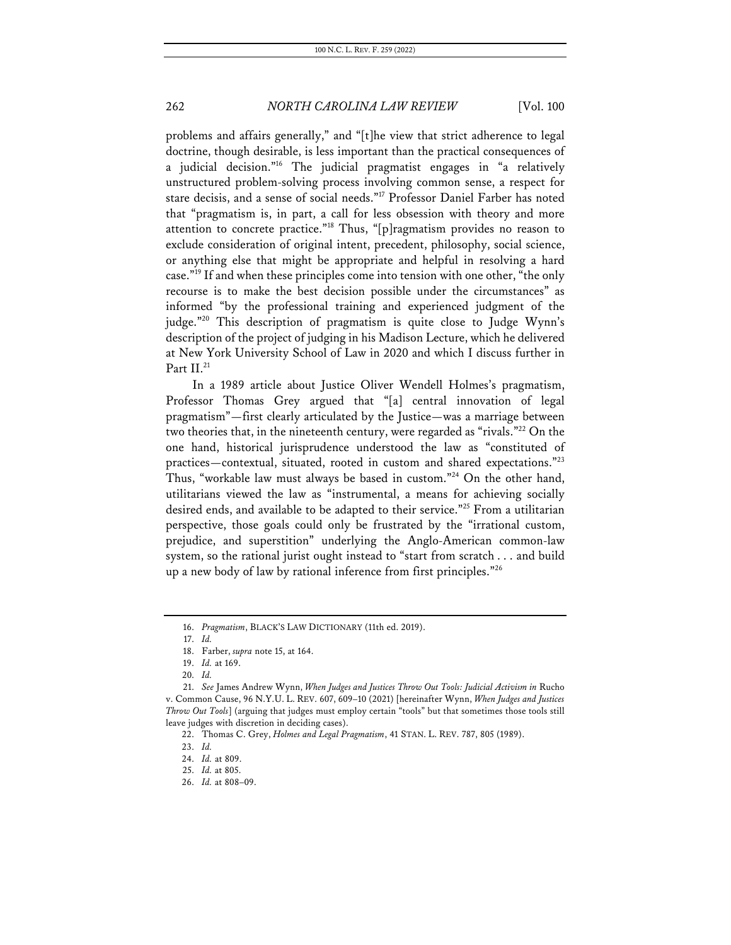problems and affairs generally," and "[t]he view that strict adherence to legal doctrine, though desirable, is less important than the practical consequences of a judicial decision."16 The judicial pragmatist engages in "a relatively unstructured problem-solving process involving common sense, a respect for stare decisis, and a sense of social needs."17 Professor Daniel Farber has noted that "pragmatism is, in part, a call for less obsession with theory and more attention to concrete practice."18 Thus, "[p]ragmatism provides no reason to exclude consideration of original intent, precedent, philosophy, social science, or anything else that might be appropriate and helpful in resolving a hard case."<sup>19</sup> If and when these principles come into tension with one other, "the only recourse is to make the best decision possible under the circumstances" as informed "by the professional training and experienced judgment of the judge."20 This description of pragmatism is quite close to Judge Wynn's description of the project of judging in his Madison Lecture, which he delivered at New York University School of Law in 2020 and which I discuss further in Part II.<sup>21</sup>

In a 1989 article about Justice Oliver Wendell Holmes's pragmatism, Professor Thomas Grey argued that "[a] central innovation of legal pragmatism"—first clearly articulated by the Justice—was a marriage between two theories that, in the nineteenth century, were regarded as "rivals."<sup>22</sup> On the one hand, historical jurisprudence understood the law as "constituted of practices—contextual, situated, rooted in custom and shared expectations."23 Thus, "workable law must always be based in custom."24 On the other hand, utilitarians viewed the law as "instrumental, a means for achieving socially desired ends, and available to be adapted to their service."25 From a utilitarian perspective, those goals could only be frustrated by the "irrational custom, prejudice, and superstition" underlying the Anglo-American common-law system, so the rational jurist ought instead to "start from scratch . . . and build up a new body of law by rational inference from first principles."26

<sup>16.</sup> *Pragmatism*, BLACK'S LAW DICTIONARY (11th ed. 2019).

<sup>17.</sup> *Id.*

<sup>18.</sup> Farber, *supra* note 15, at 164.

<sup>19.</sup> *Id.* at 169.

<sup>20.</sup> *Id.*

<sup>21.</sup> *See* James Andrew Wynn, *When Judges and Justices Throw Out Tools: Judicial Activism in* Rucho v. Common Cause, 96 N.Y.U. L. REV. 607, 609–10 (2021) [hereinafter Wynn, *When Judges and Justices Throw Out Tools*] (arguing that judges must employ certain "tools" but that sometimes those tools still leave judges with discretion in deciding cases).

<sup>22.</sup> Thomas C. Grey, *Holmes and Legal Pragmatism*, 41 STAN. L. REV. 787, 805 (1989).

<sup>23.</sup> *Id.*

<sup>24.</sup> *Id.* at 809.

<sup>25.</sup> *Id.* at 805.

<sup>26.</sup> *Id.* at 808–09.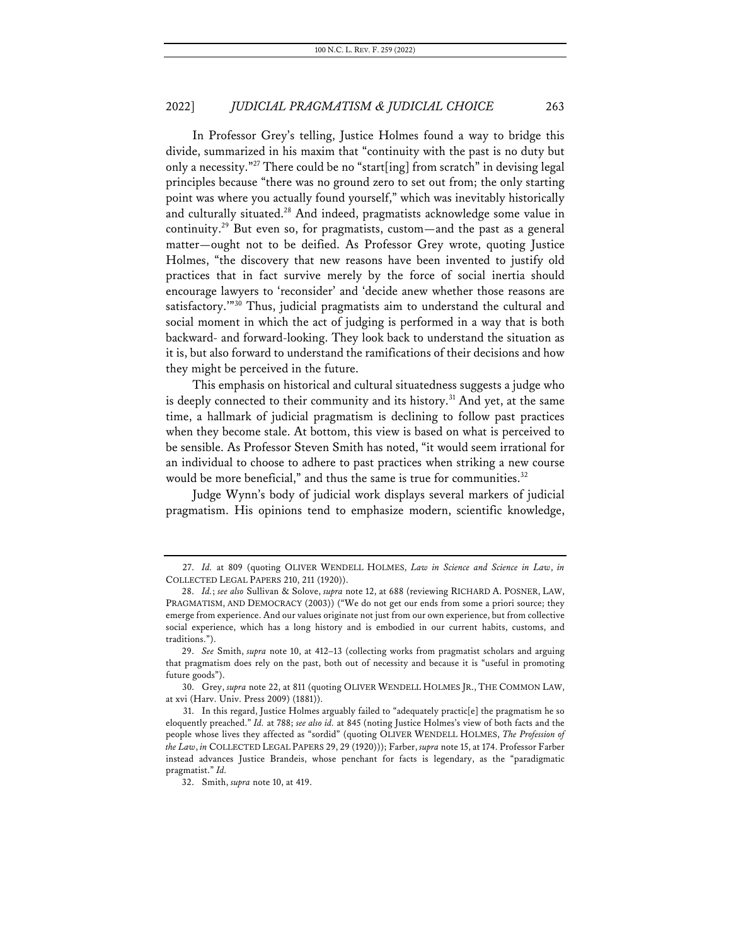In Professor Grey's telling, Justice Holmes found a way to bridge this divide, summarized in his maxim that "continuity with the past is no duty but only a necessity."27 There could be no "start[ing] from scratch" in devising legal principles because "there was no ground zero to set out from; the only starting point was where you actually found yourself," which was inevitably historically and culturally situated.<sup>28</sup> And indeed, pragmatists acknowledge some value in continuity.29 But even so, for pragmatists, custom—and the past as a general matter—ought not to be deified. As Professor Grey wrote, quoting Justice Holmes, "the discovery that new reasons have been invented to justify old practices that in fact survive merely by the force of social inertia should encourage lawyers to 'reconsider' and 'decide anew whether those reasons are satisfactory."<sup>30</sup> Thus, judicial pragmatists aim to understand the cultural and social moment in which the act of judging is performed in a way that is both backward- and forward-looking. They look back to understand the situation as it is, but also forward to understand the ramifications of their decisions and how they might be perceived in the future.

This emphasis on historical and cultural situatedness suggests a judge who is deeply connected to their community and its history.<sup>31</sup> And yet, at the same time, a hallmark of judicial pragmatism is declining to follow past practices when they become stale. At bottom, this view is based on what is perceived to be sensible. As Professor Steven Smith has noted, "it would seem irrational for an individual to choose to adhere to past practices when striking a new course would be more beneficial," and thus the same is true for communities.<sup>32</sup>

Judge Wynn's body of judicial work displays several markers of judicial pragmatism. His opinions tend to emphasize modern, scientific knowledge,

<sup>27.</sup> *Id.* at 809 (quoting OLIVER WENDELL HOLMES, *Law in Science and Science in Law*, *in*  COLLECTED LEGAL PAPERS 210, 211 (1920)).

<sup>28.</sup> *Id.*; *see also* Sullivan & Solove, *supra* note 12, at 688 (reviewing RICHARD A. POSNER, LAW, PRAGMATISM, AND DEMOCRACY (2003)) ("We do not get our ends from some a priori source; they emerge from experience. And our values originate not just from our own experience, but from collective social experience, which has a long history and is embodied in our current habits, customs, and traditions.").

<sup>29.</sup> *See* Smith, *supra* note 10, at 412–13 (collecting works from pragmatist scholars and arguing that pragmatism does rely on the past, both out of necessity and because it is "useful in promoting future goods").

<sup>30.</sup> Grey, *supra* note 22, at 811 (quoting OLIVER WENDELL HOLMES JR., THE COMMON LAW, at xvi (Harv. Univ. Press 2009) (1881)).

<sup>31.</sup> In this regard, Justice Holmes arguably failed to "adequately practic[e] the pragmatism he so eloquently preached." *Id.* at 788; *see also id.* at 845 (noting Justice Holmes's view of both facts and the people whose lives they affected as "sordid" (quoting OLIVER WENDELL HOLMES, *The Profession of the Law*, *in* COLLECTED LEGAL PAPERS 29, 29 (1920))); Farber, *supra* note 15, at 174. Professor Farber instead advances Justice Brandeis, whose penchant for facts is legendary, as the "paradigmatic pragmatist." *Id.*

<sup>32.</sup> Smith, *supra* note 10, at 419.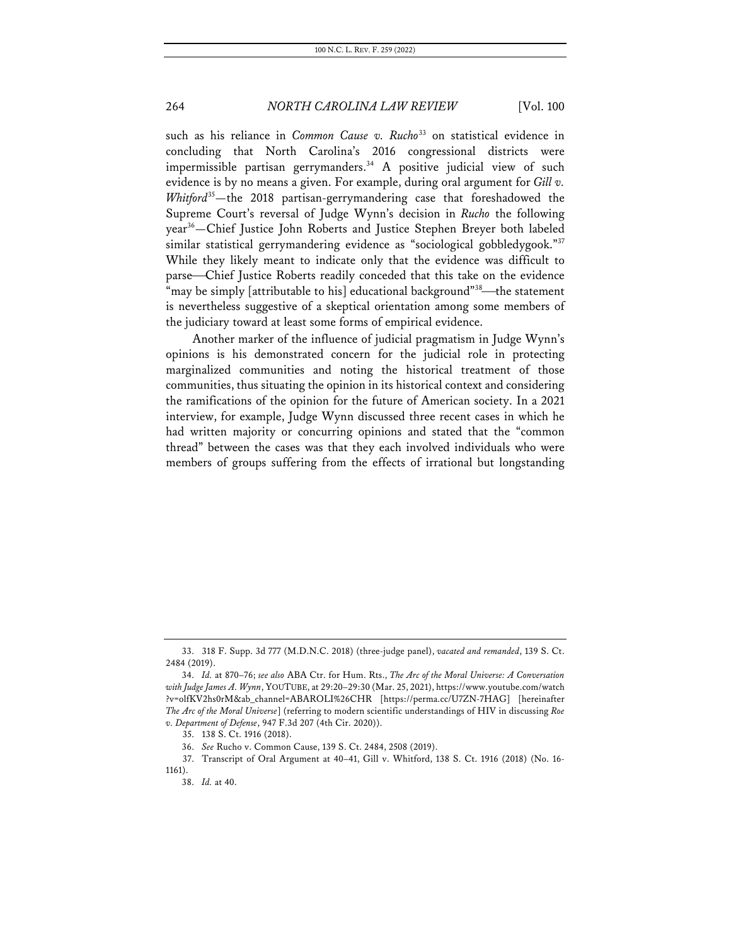such as his reliance in *Common Cause v. Rucho*<sup>33</sup> on statistical evidence in concluding that North Carolina's 2016 congressional districts were impermissible partisan gerrymanders. <sup>34</sup> A positive judicial view of such evidence is by no means a given. For example, during oral argument for *Gill v. Whitford*35—the 2018 partisan-gerrymandering case that foreshadowed the Supreme Court's reversal of Judge Wynn's decision in *Rucho* the following year<sup>36</sup>—Chief Justice John Roberts and Justice Stephen Breyer both labeled similar statistical gerrymandering evidence as "sociological gobbledygook."<sup>37</sup> While they likely meant to indicate only that the evidence was difficult to parse—Chief Justice Roberts readily conceded that this take on the evidence "may be simply [attributable to his] educational background"<sup>38</sup>—the statement is nevertheless suggestive of a skeptical orientation among some members of the judiciary toward at least some forms of empirical evidence.

Another marker of the influence of judicial pragmatism in Judge Wynn's opinions is his demonstrated concern for the judicial role in protecting marginalized communities and noting the historical treatment of those communities, thus situating the opinion in its historical context and considering the ramifications of the opinion for the future of American society. In a 2021 interview, for example, Judge Wynn discussed three recent cases in which he had written majority or concurring opinions and stated that the "common thread" between the cases was that they each involved individuals who were members of groups suffering from the effects of irrational but longstanding

<sup>33.</sup> 318 F. Supp. 3d 777 (M.D.N.C. 2018) (three-judge panel), *vacated and remanded*, 139 S. Ct. 2484 (2019).

<sup>34.</sup> *Id.* at 870–76; *see also* ABA Ctr. for Hum. Rts., *The Arc of the Moral Universe: A Conversation with Judge James A. Wynn*, YOUTUBE, at 29:20–29:30 (Mar. 25, 2021), https://www.youtube.com/watch ?v=olfKV2hs0rM&ab\_channel=ABAROLI%26CHR [https://perma.cc/U7ZN-7HAG] [hereinafter *The Arc of the Moral Universe*] (referring to modern scientific understandings of HIV in discussing *Roe v. Department of Defense*, 947 F.3d 207 (4th Cir. 2020)).

<sup>35.</sup> 138 S. Ct. 1916 (2018).

<sup>36.</sup> *See* Rucho v. Common Cause, 139 S. Ct. 2484, 2508 (2019).

<sup>37.</sup> Transcript of Oral Argument at 40–41, Gill v. Whitford, 138 S. Ct. 1916 (2018) (No. 16- 1161).

<sup>38.</sup> *Id.* at 40.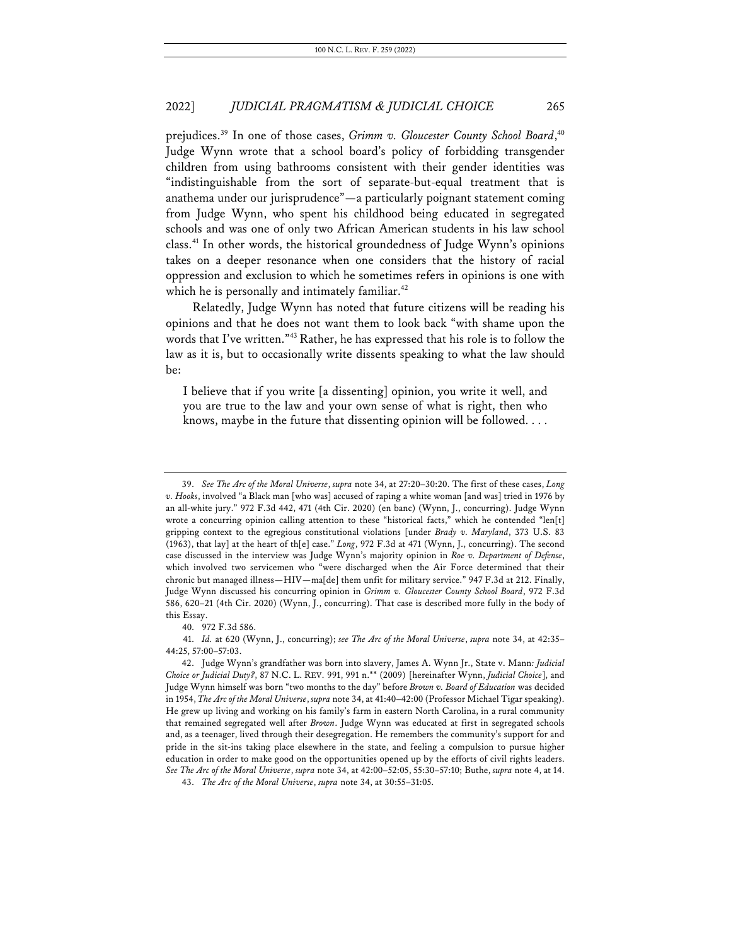prejudices.<sup>39</sup> In one of those cases, *Grimm v. Gloucester County School Board*,<sup>40</sup> Judge Wynn wrote that a school board's policy of forbidding transgender children from using bathrooms consistent with their gender identities was "indistinguishable from the sort of separate-but-equal treatment that is anathema under our jurisprudence"—a particularly poignant statement coming from Judge Wynn, who spent his childhood being educated in segregated schools and was one of only two African American students in his law school class.<sup>41</sup> In other words, the historical groundedness of Judge Wynn's opinions takes on a deeper resonance when one considers that the history of racial oppression and exclusion to which he sometimes refers in opinions is one with which he is personally and intimately familiar.<sup>42</sup>

Relatedly, Judge Wynn has noted that future citizens will be reading his opinions and that he does not want them to look back "with shame upon the words that I've written."43 Rather, he has expressed that his role is to follow the law as it is, but to occasionally write dissents speaking to what the law should be:

I believe that if you write [a dissenting] opinion, you write it well, and you are true to the law and your own sense of what is right, then who knows, maybe in the future that dissenting opinion will be followed. . . .

40. 972 F.3d 586.

<sup>39.</sup> *See The Arc of the Moral Universe*, *supra* note 34, at 27:20–30:20. The first of these cases, *Long v. Hooks*, involved "a Black man [who was] accused of raping a white woman [and was] tried in 1976 by an all-white jury." 972 F.3d 442, 471 (4th Cir. 2020) (en banc) (Wynn, J., concurring). Judge Wynn wrote a concurring opinion calling attention to these "historical facts," which he contended "len[t] gripping context to the egregious constitutional violations [under *Brady v. Maryland*, 373 U.S. 83 (1963), that lay] at the heart of th[e] case." *Long*, 972 F.3d at 471 (Wynn, J., concurring). The second case discussed in the interview was Judge Wynn's majority opinion in *Roe v. Department of Defense*, which involved two servicemen who "were discharged when the Air Force determined that their chronic but managed illness—HIV—ma[de] them unfit for military service." 947 F.3d at 212. Finally, Judge Wynn discussed his concurring opinion in *Grimm v. Gloucester County School Board*, 972 F.3d 586, 620–21 (4th Cir. 2020) (Wynn, J., concurring). That case is described more fully in the body of this Essay.

<sup>41.</sup> *Id.* at 620 (Wynn, J., concurring); *see The Arc of the Moral Universe*, *supra* note 34, at 42:35– 44:25, 57:00–57:03.

<sup>42.</sup> Judge Wynn's grandfather was born into slavery, James A. Wynn Jr., State v. Mann*: Judicial Choice or Judicial Duty?*, 87 N.C. L. REV. 991, 991 n.\*\* (2009) [hereinafter Wynn, *Judicial Choice*], and Judge Wynn himself was born "two months to the day" before *Brown v. Board of Education* was decided in 1954, *The Arc of the Moral Universe*, *supra* note 34, at 41:40–42:00 (Professor Michael Tigar speaking). He grew up living and working on his family's farm in eastern North Carolina, in a rural community that remained segregated well after *Brown*. Judge Wynn was educated at first in segregated schools and, as a teenager, lived through their desegregation. He remembers the community's support for and pride in the sit-ins taking place elsewhere in the state, and feeling a compulsion to pursue higher education in order to make good on the opportunities opened up by the efforts of civil rights leaders. *See The Arc of the Moral Universe*, *supra* note 34, at 42:00–52:05, 55:30–57:10; Buthe, *supra* note 4, at 14.

<sup>43.</sup> *The Arc of the Moral Universe*, *supra* note 34, at 30:55–31:05.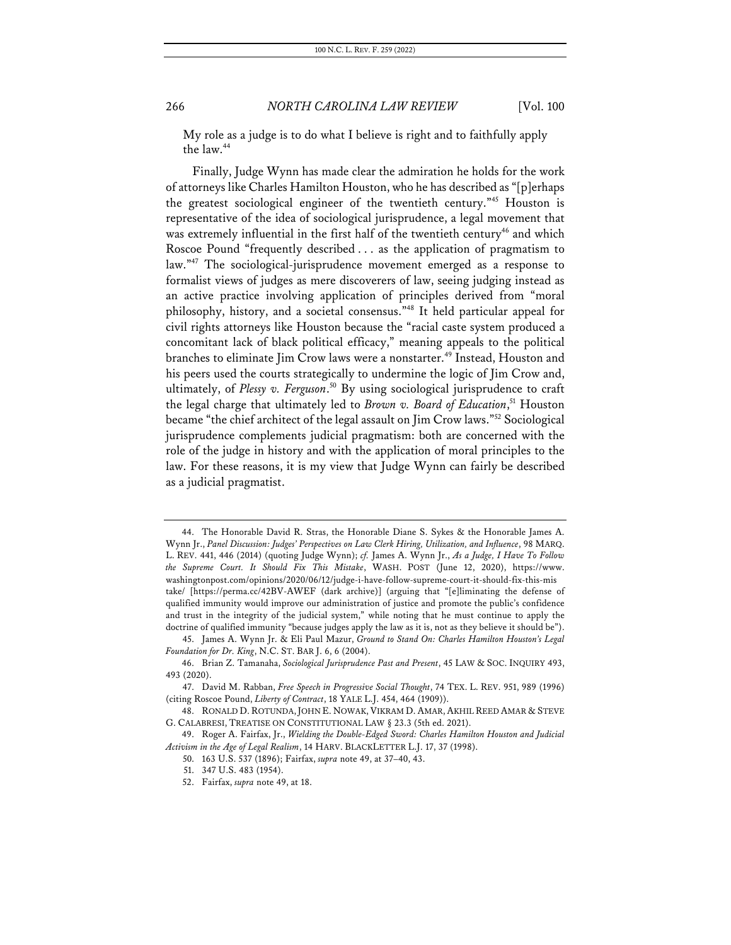My role as a judge is to do what I believe is right and to faithfully apply the law.44

Finally, Judge Wynn has made clear the admiration he holds for the work of attorneys like Charles Hamilton Houston, who he has described as "[p]erhaps the greatest sociological engineer of the twentieth century."45 Houston is representative of the idea of sociological jurisprudence, a legal movement that was extremely influential in the first half of the twentieth century<sup>46</sup> and which Roscoe Pound "frequently described . . . as the application of pragmatism to law."<sup>47</sup> The sociological-jurisprudence movement emerged as a response to formalist views of judges as mere discoverers of law, seeing judging instead as an active practice involving application of principles derived from "moral philosophy, history, and a societal consensus."48 It held particular appeal for civil rights attorneys like Houston because the "racial caste system produced a concomitant lack of black political efficacy," meaning appeals to the political branches to eliminate Jim Crow laws were a nonstarter.<sup>49</sup> Instead, Houston and his peers used the courts strategically to undermine the logic of Jim Crow and, ultimately, of *Plessy v. Ferguson*. <sup>50</sup> By using sociological jurisprudence to craft the legal charge that ultimately led to *Brown v. Board of Education*, <sup>51</sup> Houston became "the chief architect of the legal assault on Jim Crow laws."52 Sociological jurisprudence complements judicial pragmatism: both are concerned with the role of the judge in history and with the application of moral principles to the law. For these reasons, it is my view that Judge Wynn can fairly be described as a judicial pragmatist.

<sup>44.</sup> The Honorable David R. Stras, the Honorable Diane S. Sykes & the Honorable James A. Wynn Jr., *Panel Discussion: Judges' Perspectives on Law Clerk Hiring, Utilization, and Influence*, 98 MARQ. L. REV. 441, 446 (2014) (quoting Judge Wynn); *cf.* James A. Wynn Jr., *As a Judge, I Have To Follow the Supreme Court. It Should Fix This Mistake*, WASH. POST (June 12, 2020), https://www. washingtonpost.com/opinions/2020/06/12/judge-i-have-follow-supreme-court-it-should-fix-this-mis take/ [https://perma.cc/42BV-AWEF (dark archive)] (arguing that "[e]liminating the defense of qualified immunity would improve our administration of justice and promote the public's confidence and trust in the integrity of the judicial system," while noting that he must continue to apply the doctrine of qualified immunity "because judges apply the law as it is, not as they believe it should be").

<sup>45.</sup> James A. Wynn Jr. & Eli Paul Mazur, *Ground to Stand On: Charles Hamilton Houston's Legal Foundation for Dr. King*, N.C. ST. BAR J. 6, 6 (2004).

<sup>46.</sup> Brian Z. Tamanaha, *Sociological Jurisprudence Past and Present*, 45 LAW & SOC. INQUIRY 493, 493 (2020).

<sup>47.</sup> David M. Rabban, *Free Speech in Progressive Social Thought*, 74 TEX. L. REV. 951, 989 (1996) (citing Roscoe Pound, *Liberty of Contract*, 18 YALE L.J. 454, 464 (1909)).

<sup>48.</sup> RONALD D. ROTUNDA, JOHN E. NOWAK, VIKRAM D. AMAR, AKHIL REED AMAR & STEVE G. CALABRESI, TREATISE ON CONSTITUTIONAL LAW § 23.3 (5th ed. 2021).

<sup>49.</sup> Roger A. Fairfax, Jr., *Wielding the Double-Edged Sword: Charles Hamilton Houston and Judicial Activism in the Age of Legal Realism*, 14 HARV. BLACKLETTER L.J. 17, 37 (1998).

<sup>50.</sup> 163 U.S. 537 (1896); Fairfax, *supra* note 49, at 37–40, 43.

<sup>51.</sup> 347 U.S. 483 (1954).

<sup>52.</sup> Fairfax, *supra* note 49, at 18.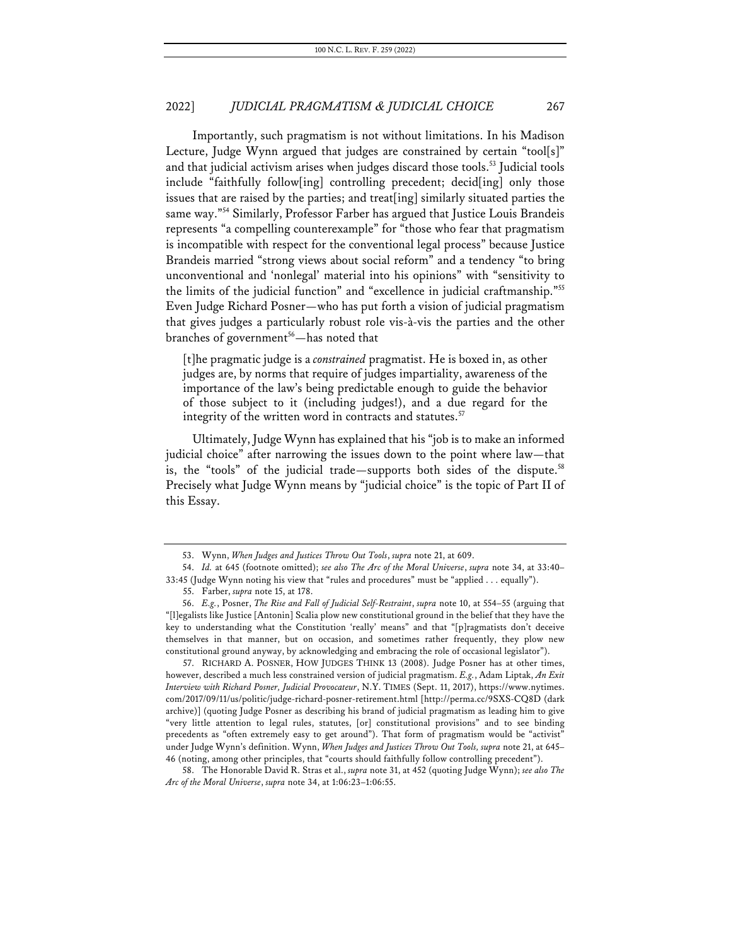Importantly, such pragmatism is not without limitations. In his Madison Lecture, Judge Wynn argued that judges are constrained by certain "tool[s]" and that judicial activism arises when judges discard those tools.<sup>53</sup> Judicial tools include "faithfully follow[ing] controlling precedent; decid[ing] only those issues that are raised by the parties; and treat[ing] similarly situated parties the same way."<sup>54</sup> Similarly, Professor Farber has argued that Justice Louis Brandeis represents "a compelling counterexample" for "those who fear that pragmatism is incompatible with respect for the conventional legal process" because Justice Brandeis married "strong views about social reform" and a tendency "to bring unconventional and 'nonlegal' material into his opinions" with "sensitivity to the limits of the judicial function" and "excellence in judicial craftmanship."55 Even Judge Richard Posner—who has put forth a vision of judicial pragmatism that gives judges a particularly robust role vis-à-vis the parties and the other branches of government<sup>56</sup>—has noted that

[t]he pragmatic judge is a *constrained* pragmatist. He is boxed in, as other judges are, by norms that require of judges impartiality, awareness of the importance of the law's being predictable enough to guide the behavior of those subject to it (including judges!), and a due regard for the integrity of the written word in contracts and statutes.<sup>57</sup>

Ultimately, Judge Wynn has explained that his "job is to make an informed judicial choice" after narrowing the issues down to the point where law—that is, the "tools" of the judicial trade—supports both sides of the dispute.<sup>58</sup> Precisely what Judge Wynn means by "judicial choice" is the topic of Part II of this Essay.

57. RICHARD A. POSNER, HOW JUDGES THINK 13 (2008). Judge Posner has at other times, however, described a much less constrained version of judicial pragmatism. *E.g.*, Adam Liptak, *An Exit Interview with Richard Posner, Judicial Provocateur*, N.Y. TIMES (Sept. 11, 2017), https://www.nytimes. com/2017/09/11/us/politic/judge-richard-posner-retirement.html [http://perma.cc/9SXS-CQ8D (dark archive)] (quoting Judge Posner as describing his brand of judicial pragmatism as leading him to give "very little attention to legal rules, statutes, [or] constitutional provisions" and to see binding precedents as "often extremely easy to get around"). That form of pragmatism would be "activist" under Judge Wynn's definition. Wynn, *When Judges and Justices Throw Out Tools, supra* note 21, at 645– 46 (noting, among other principles, that "courts should faithfully follow controlling precedent").

58. The Honorable David R. Stras et al., *supra* note 31, at 452 (quoting Judge Wynn); *see also The Arc of the Moral Universe*, *supra* note 34, at 1:06:23–1:06:55.

<sup>53.</sup> Wynn, *When Judges and Justices Throw Out Tools*, *supra* note 21, at 609.

<sup>54.</sup> *Id.* at 645 (footnote omitted); *see also The Arc of the Moral Universe*, *supra* note 34, at 33:40– 33:45 (Judge Wynn noting his view that "rules and procedures" must be "applied . . . equally").

<sup>55.</sup> Farber, *supra* note 15, at 178.

<sup>56.</sup> *E.g.*, Posner, *The Rise and Fall of Judicial Self-Restraint*, *supra* note 10, at 554–55 (arguing that "[l]egalists like Justice [Antonin] Scalia plow new constitutional ground in the belief that they have the key to understanding what the Constitution 'really' means" and that "[p]ragmatists don't deceive themselves in that manner, but on occasion, and sometimes rather frequently, they plow new constitutional ground anyway, by acknowledging and embracing the role of occasional legislator").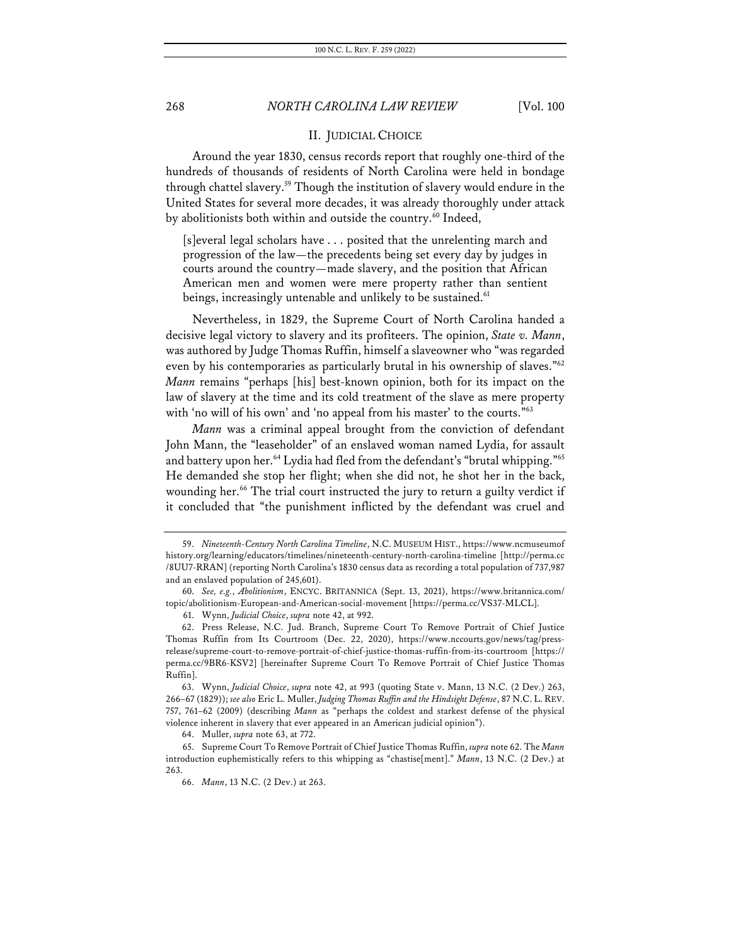#### II. JUDICIAL CHOICE

Around the year 1830, census records report that roughly one-third of the hundreds of thousands of residents of North Carolina were held in bondage through chattel slavery.59 Though the institution of slavery would endure in the United States for several more decades, it was already thoroughly under attack by abolitionists both within and outside the country.<sup>60</sup> Indeed,

[s]everal legal scholars have . . . posited that the unrelenting march and progression of the law—the precedents being set every day by judges in courts around the country—made slavery, and the position that African American men and women were mere property rather than sentient beings, increasingly untenable and unlikely to be sustained.<sup>61</sup>

Nevertheless, in 1829, the Supreme Court of North Carolina handed a decisive legal victory to slavery and its profiteers. The opinion, *State v. Mann*, was authored by Judge Thomas Ruffin, himself a slaveowner who "was regarded even by his contemporaries as particularly brutal in his ownership of slaves."<sup>62</sup> *Mann* remains "perhaps [his] best-known opinion, both for its impact on the law of slavery at the time and its cold treatment of the slave as mere property with 'no will of his own' and 'no appeal from his master' to the courts."<sup>63</sup>

*Mann* was a criminal appeal brought from the conviction of defendant John Mann, the "leaseholder" of an enslaved woman named Lydia, for assault and battery upon her.<sup>64</sup> Lydia had fled from the defendant's "brutal whipping."<sup>65</sup> He demanded she stop her flight; when she did not, he shot her in the back, wounding her.<sup>66</sup> The trial court instructed the jury to return a guilty verdict if it concluded that "the punishment inflicted by the defendant was cruel and

64. Muller, *supra* note 63, at 772.

<sup>59.</sup> *Nineteenth-Century North Carolina Timeline*, N.C. MUSEUM HIST., https://www.ncmuseumof history.org/learning/educators/timelines/nineteenth-century-north-carolina-timeline [http://perma.cc /8UU7-RRAN] (reporting North Carolina's 1830 census data as recording a total population of 737,987 and an enslaved population of 245,601).

<sup>60.</sup> *See, e.g.*, *Abolitionism*, ENCYC. BRITANNICA (Sept. 13, 2021), https://www.britannica.com/ topic/abolitionism-European-and-American-social-movement [https://perma.cc/VS37-MLCL].

<sup>61.</sup> Wynn, *Judicial Choice*, *supra* note 42, at 992.

<sup>62.</sup> Press Release, N.C. Jud. Branch, Supreme Court To Remove Portrait of Chief Justice Thomas Ruffin from Its Courtroom (Dec. 22, 2020), https://www.nccourts.gov/news/tag/pressrelease/supreme-court-to-remove-portrait-of-chief-justice-thomas-ruffin-from-its-courtroom [https:// perma.cc/9BR6-KSV2] [hereinafter Supreme Court To Remove Portrait of Chief Justice Thomas Ruffin].

<sup>63.</sup> Wynn, *Judicial Choice*, *supra* note 42, at 993 (quoting State v. Mann, 13 N.C. (2 Dev.) 263, 266–67 (1829)); *see also* Eric L. Muller, *Judging Thomas Ruffin and the Hindsight Defense*, 87 N.C. L. REV. 757, 761–62 (2009) (describing *Mann* as "perhaps the coldest and starkest defense of the physical violence inherent in slavery that ever appeared in an American judicial opinion").

<sup>65.</sup> Supreme Court To Remove Portrait of Chief Justice Thomas Ruffin, *supra* note 62. The *Mann* introduction euphemistically refers to this whipping as "chastise[ment]." *Mann*, 13 N.C. (2 Dev.) at 263.

<sup>66.</sup> *Mann*, 13 N.C. (2 Dev.) at 263.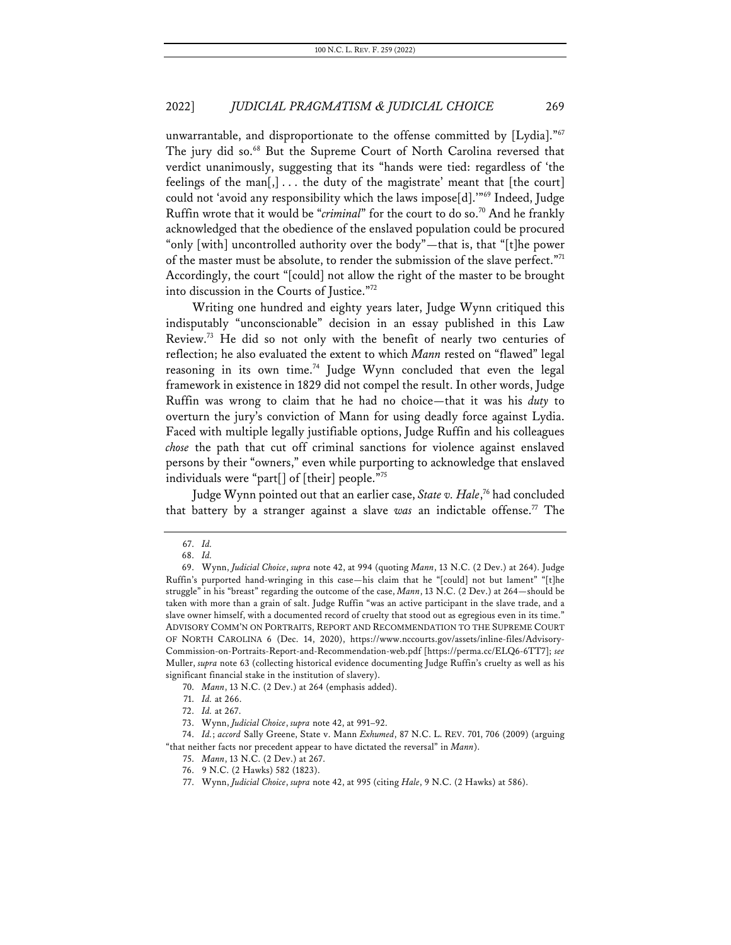unwarrantable, and disproportionate to the offense committed by [Lydia]."<sup>67</sup> The jury did so.<sup>68</sup> But the Supreme Court of North Carolina reversed that verdict unanimously, suggesting that its "hands were tied: regardless of 'the feelings of the man[,] . . . the duty of the magistrate' meant that [the court] could not 'avoid any responsibility which the laws impose[d].'"<sup>69</sup> Indeed, Judge Ruffin wrote that it would be "*criminal*" for the court to do so.<sup>70</sup> And he frankly acknowledged that the obedience of the enslaved population could be procured "only [with] uncontrolled authority over the body"—that is, that "[t]he power of the master must be absolute, to render the submission of the slave perfect."<sup>71</sup> Accordingly, the court "[could] not allow the right of the master to be brought into discussion in the Courts of Justice."72

Writing one hundred and eighty years later, Judge Wynn critiqued this indisputably "unconscionable" decision in an essay published in this Law Review.<sup>73</sup> He did so not only with the benefit of nearly two centuries of reflection; he also evaluated the extent to which *Mann* rested on "flawed" legal reasoning in its own time.<sup>74</sup> Judge Wynn concluded that even the legal framework in existence in 1829 did not compel the result. In other words, Judge Ruffin was wrong to claim that he had no choice—that it was his *duty* to overturn the jury's conviction of Mann for using deadly force against Lydia. Faced with multiple legally justifiable options, Judge Ruffin and his colleagues *chose* the path that cut off criminal sanctions for violence against enslaved persons by their "owners," even while purporting to acknowledge that enslaved individuals were "part[] of [their] people."75

Judge Wynn pointed out that an earlier case, *State v. Hale*, <sup>76</sup> had concluded that battery by a stranger against a slave *was* an indictable offense.77 The

70. *Mann*, 13 N.C. (2 Dev.) at 264 (emphasis added).

74. *Id.*; *accord* Sally Greene, State v. Mann *Exhumed*, 87 N.C. L. REV. 701, 706 (2009) (arguing "that neither facts nor precedent appear to have dictated the reversal" in *Mann*).

77. Wynn, *Judicial Choice*, *supra* note 42, at 995 (citing *Hale*, 9 N.C. (2 Hawks) at 586).

<sup>67.</sup> *Id.*

<sup>68.</sup> *Id.*

<sup>69.</sup> Wynn, *Judicial Choice*, *supra* note 42, at 994 (quoting *Mann*, 13 N.C. (2 Dev.) at 264). Judge Ruffin's purported hand-wringing in this case—his claim that he "[could] not but lament" "[t]he struggle" in his "breast" regarding the outcome of the case, *Mann*, 13 N.C. (2 Dev.) at 264—should be taken with more than a grain of salt. Judge Ruffin "was an active participant in the slave trade, and a slave owner himself, with a documented record of cruelty that stood out as egregious even in its time." ADVISORY COMM'N ON PORTRAITS, REPORT AND RECOMMENDATION TO THE SUPREME COURT OF NORTH CAROLINA 6 (Dec. 14, 2020), https://www.nccourts.gov/assets/inline-files/Advisory-Commission-on-Portraits-Report-and-Recommendation-web.pdf [https://perma.cc/ELQ6-6TT7]; *see*  Muller, *supra* note 63 (collecting historical evidence documenting Judge Ruffin's cruelty as well as his significant financial stake in the institution of slavery).

<sup>71.</sup> *Id.* at 266.

<sup>72.</sup> *Id.* at 267.

<sup>73.</sup> Wynn, *Judicial Choice*, *supra* note 42, at 991–92.

<sup>75.</sup> *Mann*, 13 N.C. (2 Dev.) at 267.

<sup>76.</sup> 9 N.C. (2 Hawks) 582 (1823).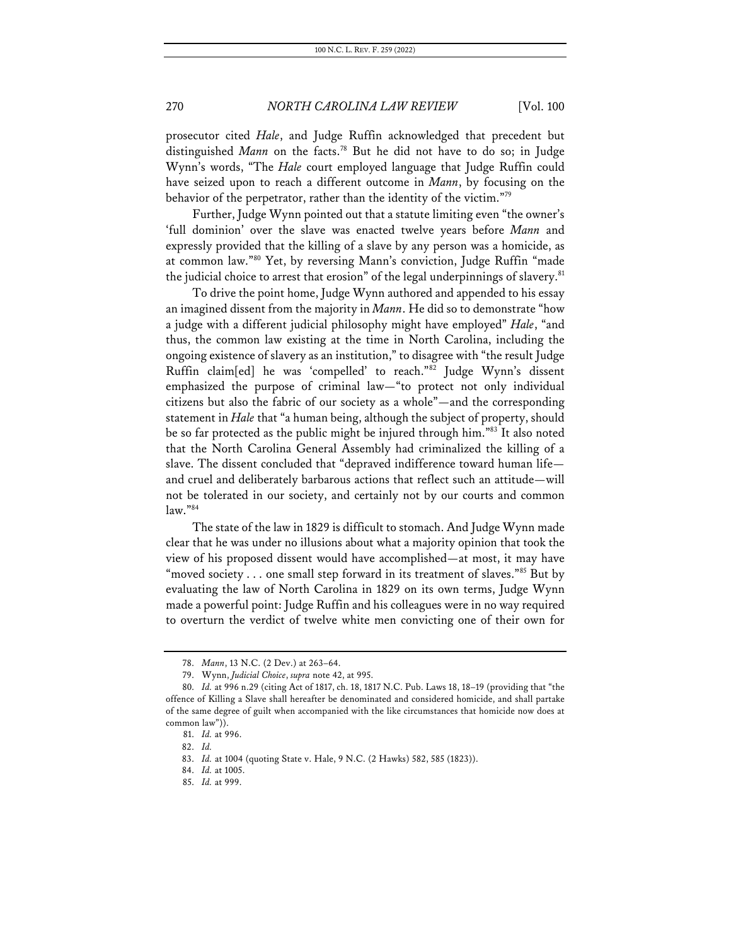prosecutor cited *Hale*, and Judge Ruffin acknowledged that precedent but distinguished *Mann* on the facts.<sup>78</sup> But he did not have to do so; in Judge Wynn's words, "The *Hale* court employed language that Judge Ruffin could have seized upon to reach a different outcome in *Mann*, by focusing on the behavior of the perpetrator, rather than the identity of the victim."79

Further, Judge Wynn pointed out that a statute limiting even "the owner's 'full dominion' over the slave was enacted twelve years before *Mann* and expressly provided that the killing of a slave by any person was a homicide, as at common law."80 Yet, by reversing Mann's conviction, Judge Ruffin "made the judicial choice to arrest that erosion" of the legal underpinnings of slavery.<sup>81</sup>

To drive the point home, Judge Wynn authored and appended to his essay an imagined dissent from the majority in *Mann*. He did so to demonstrate "how a judge with a different judicial philosophy might have employed" *Hale*, "and thus, the common law existing at the time in North Carolina, including the ongoing existence of slavery as an institution," to disagree with "the result Judge Ruffin claim[ed] he was 'compelled' to reach."82 Judge Wynn's dissent emphasized the purpose of criminal law—"to protect not only individual citizens but also the fabric of our society as a whole"—and the corresponding statement in *Hale* that "a human being, although the subject of property, should be so far protected as the public might be injured through him."83 It also noted that the North Carolina General Assembly had criminalized the killing of a slave. The dissent concluded that "depraved indifference toward human life and cruel and deliberately barbarous actions that reflect such an attitude—will not be tolerated in our society, and certainly not by our courts and common law."84

The state of the law in 1829 is difficult to stomach. And Judge Wynn made clear that he was under no illusions about what a majority opinion that took the view of his proposed dissent would have accomplished—at most, it may have "moved society . . . one small step forward in its treatment of slaves."85 But by evaluating the law of North Carolina in 1829 on its own terms, Judge Wynn made a powerful point: Judge Ruffin and his colleagues were in no way required to overturn the verdict of twelve white men convicting one of their own for

<sup>78.</sup> *Mann*, 13 N.C. (2 Dev.) at 263–64.

<sup>79.</sup> Wynn, *Judicial Choice*, *supra* note 42, at 995.

<sup>80.</sup> *Id.* at 996 n.29 (citing Act of 1817, ch. 18, 1817 N.C. Pub. Laws 18, 18–19 (providing that "the offence of Killing a Slave shall hereafter be denominated and considered homicide, and shall partake of the same degree of guilt when accompanied with the like circumstances that homicide now does at common law")).

<sup>81.</sup> *Id.* at 996.

<sup>82.</sup> *Id.*

<sup>83.</sup> *Id.* at 1004 (quoting State v. Hale, 9 N.C. (2 Hawks) 582, 585 (1823)).

<sup>84.</sup> *Id.* at 1005.

<sup>85.</sup> *Id.* at 999.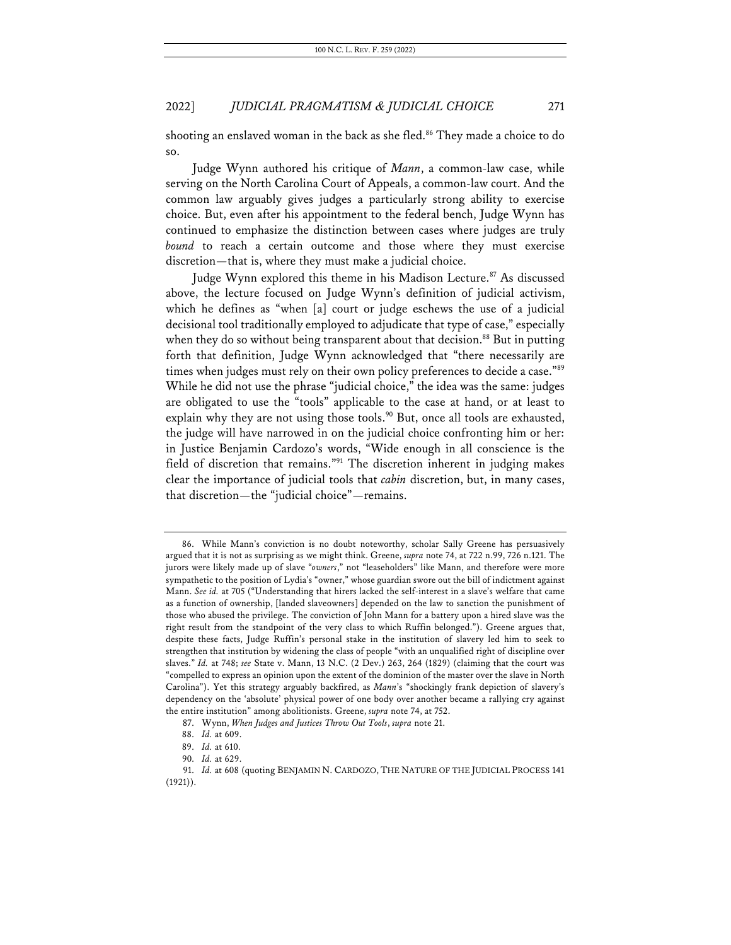shooting an enslaved woman in the back as she fled.<sup>86</sup> They made a choice to do so.

Judge Wynn authored his critique of *Mann*, a common-law case, while serving on the North Carolina Court of Appeals, a common-law court. And the common law arguably gives judges a particularly strong ability to exercise choice. But, even after his appointment to the federal bench, Judge Wynn has continued to emphasize the distinction between cases where judges are truly *bound* to reach a certain outcome and those where they must exercise discretion—that is, where they must make a judicial choice.

Judge Wynn explored this theme in his Madison Lecture.<sup>87</sup> As discussed above, the lecture focused on Judge Wynn's definition of judicial activism, which he defines as "when [a] court or judge eschews the use of a judicial decisional tool traditionally employed to adjudicate that type of case," especially when they do so without being transparent about that decision.<sup>88</sup> But in putting forth that definition, Judge Wynn acknowledged that "there necessarily are times when judges must rely on their own policy preferences to decide a case."<sup>89</sup> While he did not use the phrase "judicial choice," the idea was the same: judges are obligated to use the "tools" applicable to the case at hand, or at least to explain why they are not using those tools.<sup>90</sup> But, once all tools are exhausted, the judge will have narrowed in on the judicial choice confronting him or her: in Justice Benjamin Cardozo's words, "Wide enough in all conscience is the field of discretion that remains."91 The discretion inherent in judging makes clear the importance of judicial tools that *cabin* discretion, but, in many cases, that discretion—the "judicial choice"—remains.

<sup>86.</sup> While Mann's conviction is no doubt noteworthy, scholar Sally Greene has persuasively argued that it is not as surprising as we might think. Greene, *supra* note 74, at 722 n.99, 726 n.121. The jurors were likely made up of slave "*owners*," not "leaseholders" like Mann, and therefore were more sympathetic to the position of Lydia's "owner," whose guardian swore out the bill of indictment against Mann. *See id.* at 705 ("Understanding that hirers lacked the self-interest in a slave's welfare that came as a function of ownership, [landed slaveowners] depended on the law to sanction the punishment of those who abused the privilege. The conviction of John Mann for a battery upon a hired slave was the right result from the standpoint of the very class to which Ruffin belonged."). Greene argues that, despite these facts, Judge Ruffin's personal stake in the institution of slavery led him to seek to strengthen that institution by widening the class of people "with an unqualified right of discipline over slaves." *Id.* at 748; *see* State v. Mann, 13 N.C. (2 Dev.) 263, 264 (1829) (claiming that the court was "compelled to express an opinion upon the extent of the dominion of the master over the slave in North Carolina"). Yet this strategy arguably backfired, as *Mann*'s "shockingly frank depiction of slavery's dependency on the 'absolute' physical power of one body over another became a rallying cry against the entire institution" among abolitionists. Greene, *supra* note 74, at 752.

<sup>87.</sup> Wynn, *When Judges and Justices Throw Out Tools*, *supra* note 21.

<sup>88.</sup> *Id.* at 609.

<sup>89.</sup> *Id.* at 610.

<sup>90.</sup> *Id.* at 629.

<sup>91.</sup> Id. at 608 (quoting BENJAMIN N. CARDOZO, THE NATURE OF THE JUDICIAL PROCESS 141 (1921)).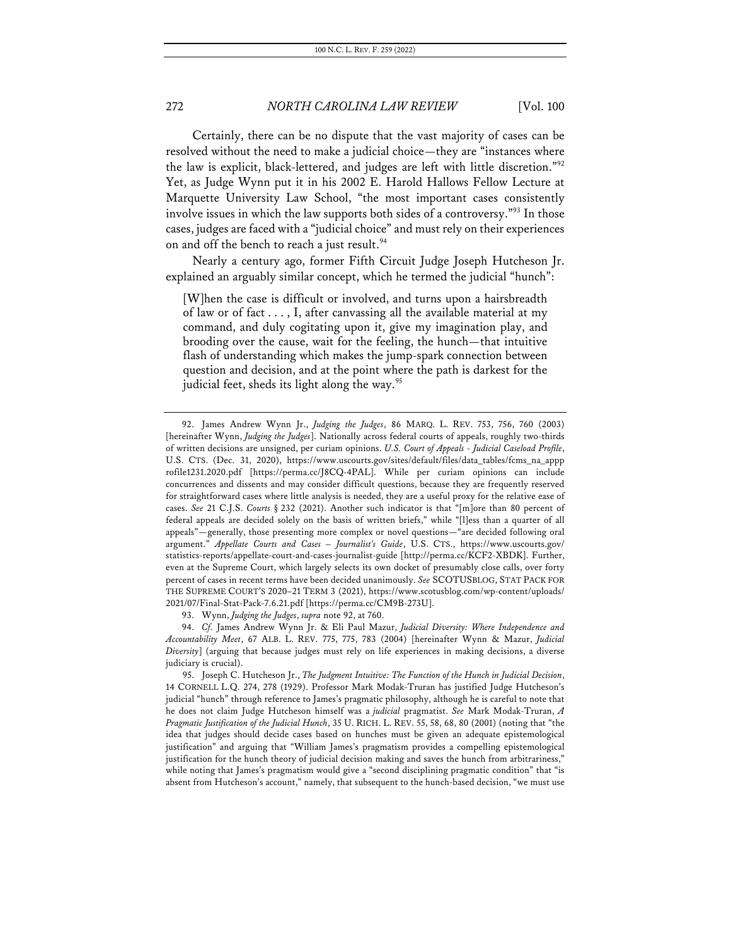Certainly, there can be no dispute that the vast majority of cases can be resolved without the need to make a judicial choice—they are "instances where the law is explicit, black-lettered, and judges are left with little discretion."92 Yet, as Judge Wynn put it in his 2002 E. Harold Hallows Fellow Lecture at Marquette University Law School, "the most important cases consistently involve issues in which the law supports both sides of a controversy."93 In those cases, judges are faced with a "judicial choice" and must rely on their experiences on and off the bench to reach a just result.<sup>94</sup>

Nearly a century ago, former Fifth Circuit Judge Joseph Hutcheson Jr. explained an arguably similar concept, which he termed the judicial "hunch":

[W]hen the case is difficult or involved, and turns upon a hairsbreadth of law or of fact . . . , I, after canvassing all the available material at my command, and duly cogitating upon it, give my imagination play, and brooding over the cause, wait for the feeling, the hunch—that intuitive flash of understanding which makes the jump-spark connection between question and decision, and at the point where the path is darkest for the judicial feet, sheds its light along the way.<sup>95</sup>

93. Wynn, *Judging the Judges*, *supra* note 92, at 760.

94. *Cf.* James Andrew Wynn Jr. & Eli Paul Mazur, *Judicial Diversity: Where Independence and Accountability Meet*, 67 ALB. L. REV. 775, 775, 783 (2004) [hereinafter Wynn & Mazur, *Judicial Diversity*] (arguing that because judges must rely on life experiences in making decisions, a diverse judiciary is crucial).

95. Joseph C. Hutcheson Jr., *The Judgment Intuitive: The Function of the Hunch in Judicial Decision*, 14 CORNELL L.Q. 274, 278 (1929). Professor Mark Modak-Truran has justified Judge Hutcheson's judicial "hunch" through reference to James's pragmatic philosophy, although he is careful to note that he does not claim Judge Hutcheson himself was a *judicial* pragmatist. *See* Mark Modak-Truran, *A Pragmatic Justification of the Judicial Hunch*, 35 U. RICH. L. REV. 55, 58, 68, 80 (2001) (noting that "the idea that judges should decide cases based on hunches must be given an adequate epistemological justification" and arguing that "William James's pragmatism provides a compelling epistemological justification for the hunch theory of judicial decision making and saves the hunch from arbitrariness," while noting that James's pragmatism would give a "second disciplining pragmatic condition" that "is absent from Hutcheson's account," namely, that subsequent to the hunch-based decision, "we must use

<sup>92.</sup> James Andrew Wynn Jr., *Judging the Judges*, 86 MARQ. L. REV. 753, 756, 760 (2003) [hereinafter Wynn, *Judging the Judges*]. Nationally across federal courts of appeals, roughly two-thirds of written decisions are unsigned, per curiam opinions. *U.S. Court of Appeals - Judicial Caseload Profile*, U.S. CTS. (Dec. 31, 2020), https://www.uscourts.gov/sites/default/files/data\_tables/fcms\_na\_appp rofile1231.2020.pdf [https://perma.cc/J8CQ-4PAL]. While per curiam opinions can include concurrences and dissents and may consider difficult questions, because they are frequently reserved for straightforward cases where little analysis is needed, they are a useful proxy for the relative ease of cases. *See* 21 C.J.S. *Courts* § 232 (2021). Another such indicator is that "[m]ore than 80 percent of federal appeals are decided solely on the basis of written briefs," while "[l]ess than a quarter of all appeals"—generally, those presenting more complex or novel questions—"are decided following oral argument." *Appellate Courts and Cases – Journalist's Guide*, U.S. CTS., https://www.uscourts.gov/ statistics-reports/appellate-court-and-cases-journalist-guide [http://perma.cc/KCF2-XBDK]. Further, even at the Supreme Court, which largely selects its own docket of presumably close calls, over forty percent of cases in recent terms have been decided unanimously. *See* SCOTUSBLOG, STAT PACK FOR THE SUPREME COURT'S 2020–21 TERM 3 (2021), https://www.scotusblog.com/wp-content/uploads/ 2021/07/Final-Stat-Pack-7.6.21.pdf [https://perma.cc/CM9B-273U].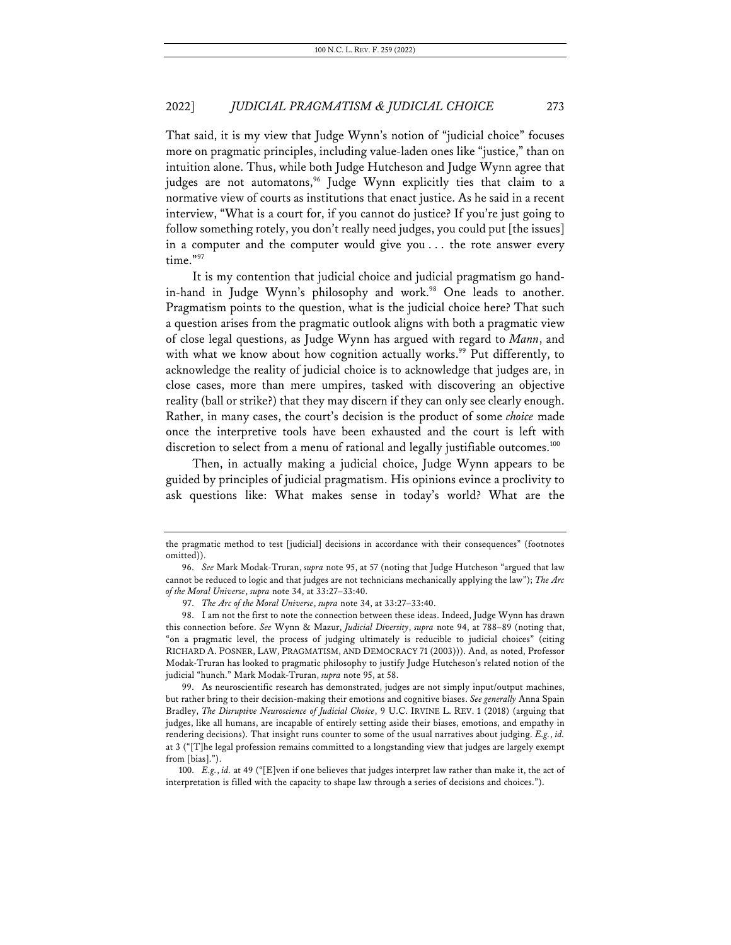That said, it is my view that Judge Wynn's notion of "judicial choice" focuses more on pragmatic principles, including value-laden ones like "justice," than on intuition alone. Thus, while both Judge Hutcheson and Judge Wynn agree that judges are not automatons,<sup>96</sup> Judge Wynn explicitly ties that claim to a normative view of courts as institutions that enact justice. As he said in a recent interview, "What is a court for, if you cannot do justice? If you're just going to follow something rotely, you don't really need judges, you could put [the issues] in a computer and the computer would give you . . . the rote answer every time."97

It is my contention that judicial choice and judicial pragmatism go handin-hand in Judge Wynn's philosophy and work.<sup>98</sup> One leads to another. Pragmatism points to the question, what is the judicial choice here? That such a question arises from the pragmatic outlook aligns with both a pragmatic view of close legal questions, as Judge Wynn has argued with regard to *Mann*, and with what we know about how cognition actually works.<sup>99</sup> Put differently, to acknowledge the reality of judicial choice is to acknowledge that judges are, in close cases, more than mere umpires, tasked with discovering an objective reality (ball or strike?) that they may discern if they can only see clearly enough. Rather, in many cases, the court's decision is the product of some *choice* made once the interpretive tools have been exhausted and the court is left with discretion to select from a menu of rational and legally justifiable outcomes.<sup>100</sup>

Then, in actually making a judicial choice, Judge Wynn appears to be guided by principles of judicial pragmatism. His opinions evince a proclivity to ask questions like: What makes sense in today's world? What are the

the pragmatic method to test [judicial] decisions in accordance with their consequences" (footnotes omitted)).

<sup>96.</sup> *See* Mark Modak-Truran, *supra* note 95, at 57 (noting that Judge Hutcheson "argued that law cannot be reduced to logic and that judges are not technicians mechanically applying the law"); *The Arc of the Moral Universe*, *supra* note 34, at 33:27–33:40.

<sup>97.</sup> *The Arc of the Moral Universe*, *supra* note 34, at 33:27–33:40.

<sup>98.</sup> I am not the first to note the connection between these ideas. Indeed, Judge Wynn has drawn this connection before. *See* Wynn & Mazur, *Judicial Diversity*, *supra* note 94, at 788–89 (noting that, "on a pragmatic level, the process of judging ultimately is reducible to judicial choices" (citing RICHARD A. POSNER, LAW, PRAGMATISM, AND DEMOCRACY 71 (2003))). And, as noted, Professor Modak-Truran has looked to pragmatic philosophy to justify Judge Hutcheson's related notion of the judicial "hunch." Mark Modak-Truran, *supra* note 95, at 58.

<sup>99.</sup> As neuroscientific research has demonstrated, judges are not simply input/output machines, but rather bring to their decision-making their emotions and cognitive biases. *See generally* Anna Spain Bradley, *The Disruptive Neuroscience of Judicial Choice*, 9 U.C. IRVINE L. REV. 1 (2018) (arguing that judges, like all humans, are incapable of entirely setting aside their biases, emotions, and empathy in rendering decisions). That insight runs counter to some of the usual narratives about judging. *E.g.*, *id.* at 3 ("[T]he legal profession remains committed to a longstanding view that judges are largely exempt from [bias].").

<sup>100.</sup> *E.g.*, *id.* at 49 ("[E]ven if one believes that judges interpret law rather than make it, the act of interpretation is filled with the capacity to shape law through a series of decisions and choices.").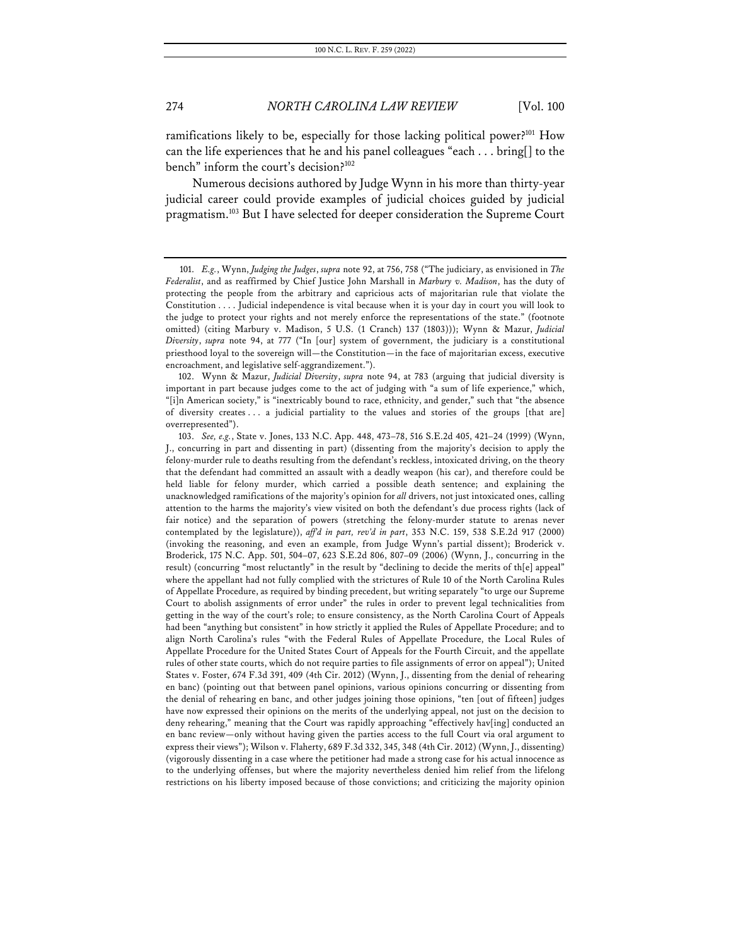ramifications likely to be, especially for those lacking political power?<sup>101</sup> How can the life experiences that he and his panel colleagues "each . . . bring[] to the bench" inform the court's decision?102

Numerous decisions authored by Judge Wynn in his more than thirty-year judicial career could provide examples of judicial choices guided by judicial pragmatism.<sup>103</sup> But I have selected for deeper consideration the Supreme Court

102. Wynn & Mazur, *Judicial Diversity*, *supra* note 94, at 783 (arguing that judicial diversity is important in part because judges come to the act of judging with "a sum of life experience," which, "[i]n American society," is "inextricably bound to race, ethnicity, and gender," such that "the absence of diversity creates . . . a judicial partiality to the values and stories of the groups [that are] overrepresented").

103. *See, e.g.*, State v. Jones, 133 N.C. App. 448, 473–78, 516 S.E.2d 405, 421–24 (1999) (Wynn, J., concurring in part and dissenting in part) (dissenting from the majority's decision to apply the felony-murder rule to deaths resulting from the defendant's reckless, intoxicated driving, on the theory that the defendant had committed an assault with a deadly weapon (his car), and therefore could be held liable for felony murder, which carried a possible death sentence; and explaining the unacknowledged ramifications of the majority's opinion for *all* drivers, not just intoxicated ones, calling attention to the harms the majority's view visited on both the defendant's due process rights (lack of fair notice) and the separation of powers (stretching the felony-murder statute to arenas never contemplated by the legislature)), *aff'd in part, rev'd in part*, 353 N.C. 159, 538 S.E.2d 917 (2000) (invoking the reasoning, and even an example, from Judge Wynn's partial dissent); Broderick v. Broderick, 175 N.C. App. 501, 504–07, 623 S.E.2d 806, 807–09 (2006) (Wynn, J., concurring in the result) (concurring "most reluctantly" in the result by "declining to decide the merits of th[e] appeal" where the appellant had not fully complied with the strictures of Rule 10 of the North Carolina Rules of Appellate Procedure, as required by binding precedent, but writing separately "to urge our Supreme Court to abolish assignments of error under" the rules in order to prevent legal technicalities from getting in the way of the court's role; to ensure consistency, as the North Carolina Court of Appeals had been "anything but consistent" in how strictly it applied the Rules of Appellate Procedure; and to align North Carolina's rules "with the Federal Rules of Appellate Procedure, the Local Rules of Appellate Procedure for the United States Court of Appeals for the Fourth Circuit, and the appellate rules of other state courts, which do not require parties to file assignments of error on appeal"); United States v. Foster, 674 F.3d 391, 409 (4th Cir. 2012) (Wynn, J., dissenting from the denial of rehearing en banc) (pointing out that between panel opinions, various opinions concurring or dissenting from the denial of rehearing en banc, and other judges joining those opinions, "ten [out of fifteen] judges have now expressed their opinions on the merits of the underlying appeal, not just on the decision to deny rehearing," meaning that the Court was rapidly approaching "effectively hav[ing] conducted an en banc review—only without having given the parties access to the full Court via oral argument to express their views"); Wilson v. Flaherty, 689 F.3d 332, 345, 348 (4th Cir. 2012) (Wynn, J., dissenting) (vigorously dissenting in a case where the petitioner had made a strong case for his actual innocence as to the underlying offenses, but where the majority nevertheless denied him relief from the lifelong restrictions on his liberty imposed because of those convictions; and criticizing the majority opinion

<sup>101.</sup> *E.g.*, Wynn, *Judging the Judges*, *supra* note 92, at 756, 758 ("The judiciary, as envisioned in *The Federalist*, and as reaffirmed by Chief Justice John Marshall in *Marbury v. Madison*, has the duty of protecting the people from the arbitrary and capricious acts of majoritarian rule that violate the Constitution . . . . Judicial independence is vital because when it is your day in court you will look to the judge to protect your rights and not merely enforce the representations of the state." (footnote omitted) (citing Marbury v. Madison, 5 U.S. (1 Cranch) 137 (1803))); Wynn & Mazur, *Judicial Diversity*, *supra* note 94, at 777 ("In [our] system of government, the judiciary is a constitutional priesthood loyal to the sovereign will—the Constitution—in the face of majoritarian excess, executive encroachment, and legislative self-aggrandizement.").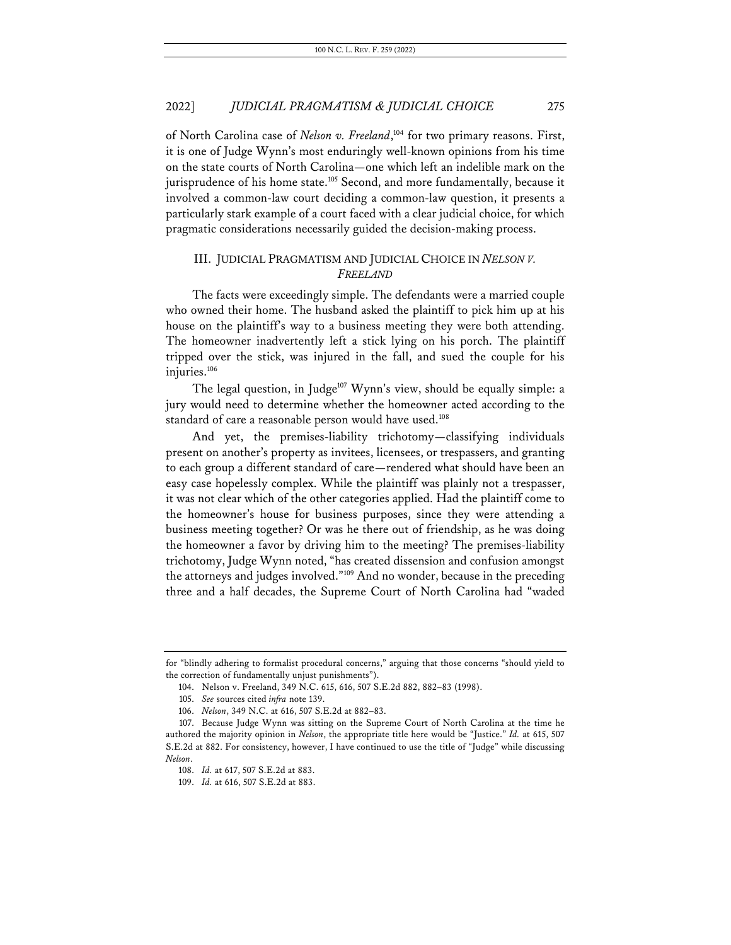of North Carolina case of *Nelson v. Freeland*,<sup>104</sup> for two primary reasons. First, it is one of Judge Wynn's most enduringly well-known opinions from his time on the state courts of North Carolina—one which left an indelible mark on the jurisprudence of his home state.<sup>105</sup> Second, and more fundamentally, because it involved a common-law court deciding a common-law question, it presents a particularly stark example of a court faced with a clear judicial choice, for which pragmatic considerations necessarily guided the decision-making process.

## III. JUDICIAL PRAGMATISM AND JUDICIAL CHOICE IN *NELSON V. FREELAND*

The facts were exceedingly simple. The defendants were a married couple who owned their home. The husband asked the plaintiff to pick him up at his house on the plaintiff's way to a business meeting they were both attending. The homeowner inadvertently left a stick lying on his porch. The plaintiff tripped over the stick, was injured in the fall, and sued the couple for his injuries.<sup>106</sup>

The legal question, in Judge<sup>107</sup> Wynn's view, should be equally simple: a jury would need to determine whether the homeowner acted according to the standard of care a reasonable person would have used.<sup>108</sup>

And yet, the premises-liability trichotomy—classifying individuals present on another's property as invitees, licensees, or trespassers, and granting to each group a different standard of care—rendered what should have been an easy case hopelessly complex. While the plaintiff was plainly not a trespasser, it was not clear which of the other categories applied. Had the plaintiff come to the homeowner's house for business purposes, since they were attending a business meeting together? Or was he there out of friendship, as he was doing the homeowner a favor by driving him to the meeting? The premises-liability trichotomy, Judge Wynn noted, "has created dissension and confusion amongst the attorneys and judges involved."109 And no wonder, because in the preceding three and a half decades, the Supreme Court of North Carolina had "waded

for "blindly adhering to formalist procedural concerns," arguing that those concerns "should yield to the correction of fundamentally unjust punishments").

<sup>104.</sup> Nelson v. Freeland, 349 N.C. 615, 616, 507 S.E.2d 882, 882–83 (1998).

<sup>105.</sup> *See* sources cited *infra* note 139.

<sup>106.</sup> *Nelson*, 349 N.C. at 616, 507 S.E.2d at 882–83.

<sup>107.</sup> Because Judge Wynn was sitting on the Supreme Court of North Carolina at the time he authored the majority opinion in *Nelson*, the appropriate title here would be "Justice." *Id.* at 615, 507 S.E.2d at 882. For consistency, however, I have continued to use the title of "Judge" while discussing *Nelson*.

<sup>108.</sup> *Id.* at 617, 507 S.E.2d at 883.

<sup>109.</sup> *Id.* at 616, 507 S.E.2d at 883.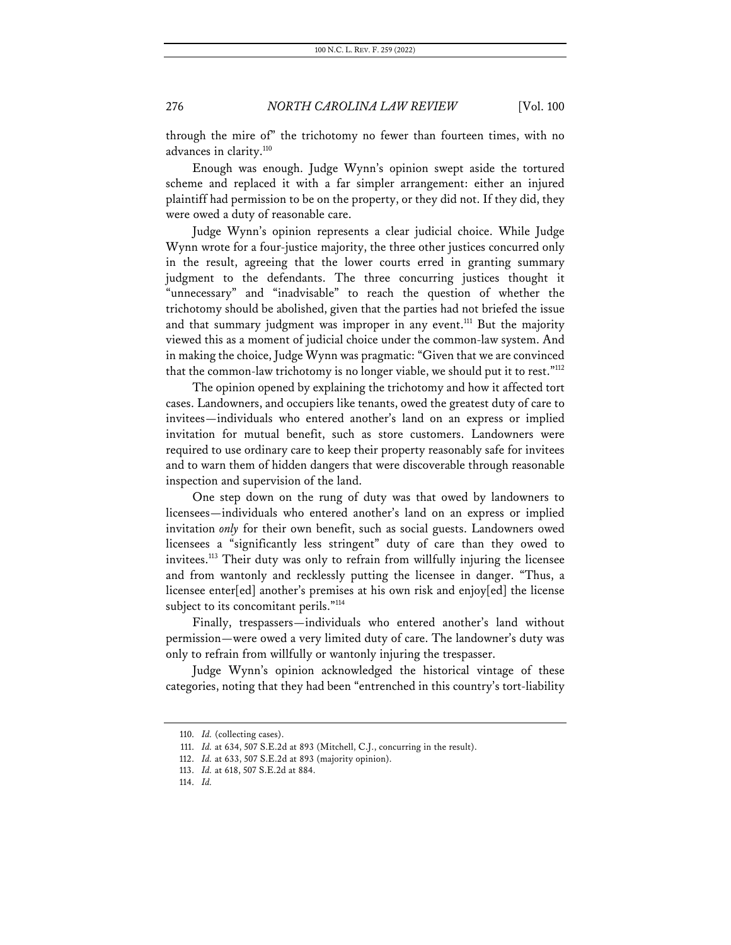through the mire of" the trichotomy no fewer than fourteen times, with no advances in clarity.<sup>110</sup>

Enough was enough. Judge Wynn's opinion swept aside the tortured scheme and replaced it with a far simpler arrangement: either an injured plaintiff had permission to be on the property, or they did not. If they did, they were owed a duty of reasonable care.

Judge Wynn's opinion represents a clear judicial choice. While Judge Wynn wrote for a four-justice majority, the three other justices concurred only in the result, agreeing that the lower courts erred in granting summary judgment to the defendants. The three concurring justices thought it "unnecessary" and "inadvisable" to reach the question of whether the trichotomy should be abolished, given that the parties had not briefed the issue and that summary judgment was improper in any event.<sup>111</sup> But the majority viewed this as a moment of judicial choice under the common-law system. And in making the choice, Judge Wynn was pragmatic: "Given that we are convinced that the common-law trichotomy is no longer viable, we should put it to rest."<sup>112</sup>

The opinion opened by explaining the trichotomy and how it affected tort cases. Landowners, and occupiers like tenants, owed the greatest duty of care to invitees—individuals who entered another's land on an express or implied invitation for mutual benefit, such as store customers. Landowners were required to use ordinary care to keep their property reasonably safe for invitees and to warn them of hidden dangers that were discoverable through reasonable inspection and supervision of the land.

One step down on the rung of duty was that owed by landowners to licensees—individuals who entered another's land on an express or implied invitation *only* for their own benefit, such as social guests. Landowners owed licensees a "significantly less stringent" duty of care than they owed to invitees.113 Their duty was only to refrain from willfully injuring the licensee and from wantonly and recklessly putting the licensee in danger. "Thus, a licensee enter[ed] another's premises at his own risk and enjoy[ed] the license subject to its concomitant perils."<sup>114</sup>

Finally, trespassers—individuals who entered another's land without permission—were owed a very limited duty of care. The landowner's duty was only to refrain from willfully or wantonly injuring the trespasser.

Judge Wynn's opinion acknowledged the historical vintage of these categories, noting that they had been "entrenched in this country's tort-liability

<sup>110.</sup> *Id.* (collecting cases).

<sup>111.</sup> *Id.* at 634, 507 S.E.2d at 893 (Mitchell, C.J., concurring in the result).

<sup>112.</sup> *Id.* at 633, 507 S.E.2d at 893 (majority opinion).

<sup>113.</sup> *Id.* at 618, 507 S.E.2d at 884.

<sup>114.</sup> *Id.*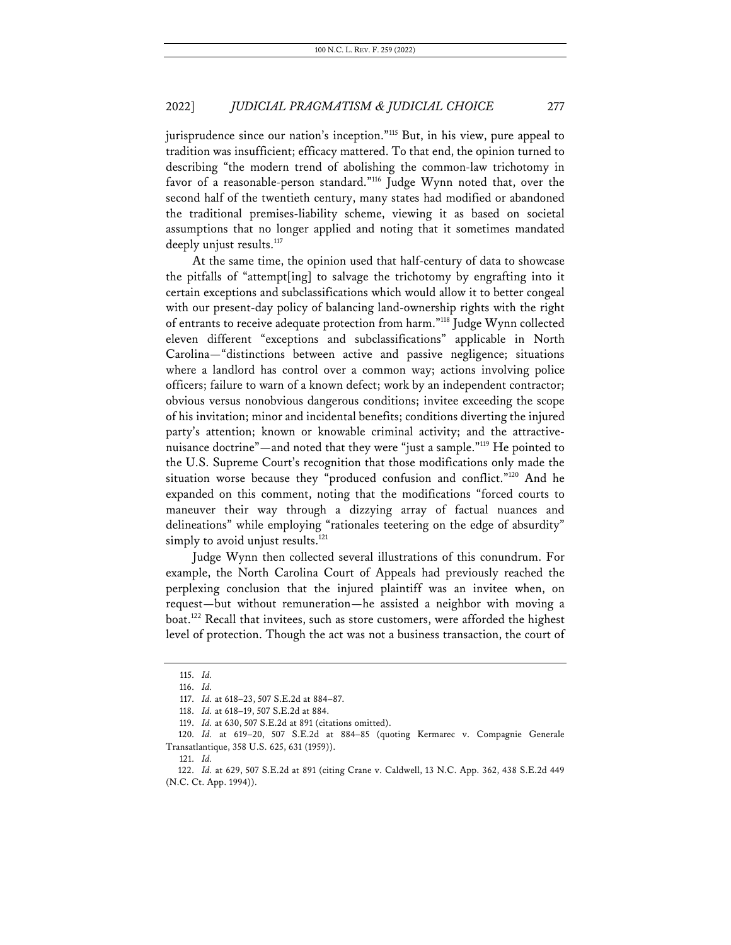jurisprudence since our nation's inception."115 But, in his view, pure appeal to tradition was insufficient; efficacy mattered. To that end, the opinion turned to describing "the modern trend of abolishing the common-law trichotomy in favor of a reasonable-person standard."<sup>116</sup> Judge Wynn noted that, over the second half of the twentieth century, many states had modified or abandoned the traditional premises-liability scheme, viewing it as based on societal assumptions that no longer applied and noting that it sometimes mandated deeply unjust results.<sup>117</sup>

At the same time, the opinion used that half-century of data to showcase the pitfalls of "attempt[ing] to salvage the trichotomy by engrafting into it certain exceptions and subclassifications which would allow it to better congeal with our present-day policy of balancing land-ownership rights with the right of entrants to receive adequate protection from harm."118 Judge Wynn collected eleven different "exceptions and subclassifications" applicable in North Carolina—"distinctions between active and passive negligence; situations where a landlord has control over a common way; actions involving police officers; failure to warn of a known defect; work by an independent contractor; obvious versus nonobvious dangerous conditions; invitee exceeding the scope of his invitation; minor and incidental benefits; conditions diverting the injured party's attention; known or knowable criminal activity; and the attractivenuisance doctrine"—and noted that they were "just a sample."119 He pointed to the U.S. Supreme Court's recognition that those modifications only made the situation worse because they "produced confusion and conflict."120 And he expanded on this comment, noting that the modifications "forced courts to maneuver their way through a dizzying array of factual nuances and delineations" while employing "rationales teetering on the edge of absurdity" simply to avoid unjust results.<sup>121</sup>

Judge Wynn then collected several illustrations of this conundrum. For example, the North Carolina Court of Appeals had previously reached the perplexing conclusion that the injured plaintiff was an invitee when, on request—but without remuneration—he assisted a neighbor with moving a boat.<sup>122</sup> Recall that invitees, such as store customers, were afforded the highest level of protection. Though the act was not a business transaction, the court of

<sup>115.</sup> *Id.*

<sup>116.</sup> *Id.*

<sup>117.</sup> *Id.* at 618–23, 507 S.E.2d at 884–87.

<sup>118.</sup> *Id.* at 618–19, 507 S.E.2d at 884.

<sup>119.</sup> *Id.* at 630, 507 S.E.2d at 891 (citations omitted).

<sup>120.</sup> *Id.* at 619–20, 507 S.E.2d at 884–85 (quoting Kermarec v. Compagnie Generale Transatlantique, 358 U.S. 625, 631 (1959)).

<sup>121.</sup> *Id.*

<sup>122.</sup> *Id.* at 629, 507 S.E.2d at 891 (citing Crane v. Caldwell, 13 N.C. App. 362, 438 S.E.2d 449 (N.C. Ct. App. 1994)).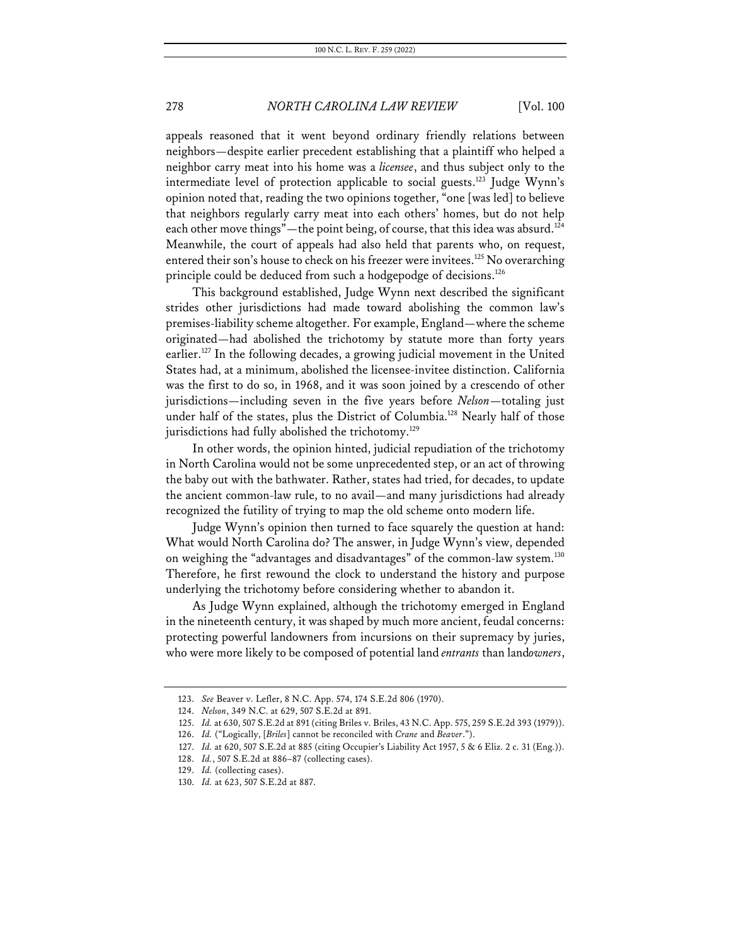appeals reasoned that it went beyond ordinary friendly relations between neighbors—despite earlier precedent establishing that a plaintiff who helped a neighbor carry meat into his home was a *licensee*, and thus subject only to the intermediate level of protection applicable to social guests.<sup>123</sup> Judge Wynn's opinion noted that, reading the two opinions together, "one [was led] to believe that neighbors regularly carry meat into each others' homes, but do not help each other move things"—the point being, of course, that this idea was absurd.<sup>124</sup> Meanwhile, the court of appeals had also held that parents who, on request, entered their son's house to check on his freezer were invitees.<sup>125</sup> No overarching principle could be deduced from such a hodgepodge of decisions.<sup>126</sup>

This background established, Judge Wynn next described the significant strides other jurisdictions had made toward abolishing the common law's premises-liability scheme altogether. For example, England—where the scheme originated—had abolished the trichotomy by statute more than forty years earlier.<sup>127</sup> In the following decades, a growing judicial movement in the United States had, at a minimum, abolished the licensee-invitee distinction. California was the first to do so, in 1968, and it was soon joined by a crescendo of other jurisdictions—including seven in the five years before *Nelson*—totaling just under half of the states, plus the District of Columbia.<sup>128</sup> Nearly half of those jurisdictions had fully abolished the trichotomy.<sup>129</sup>

In other words, the opinion hinted, judicial repudiation of the trichotomy in North Carolina would not be some unprecedented step, or an act of throwing the baby out with the bathwater. Rather, states had tried, for decades, to update the ancient common-law rule, to no avail—and many jurisdictions had already recognized the futility of trying to map the old scheme onto modern life.

Judge Wynn's opinion then turned to face squarely the question at hand: What would North Carolina do? The answer, in Judge Wynn's view, depended on weighing the "advantages and disadvantages" of the common-law system.<sup>130</sup> Therefore, he first rewound the clock to understand the history and purpose underlying the trichotomy before considering whether to abandon it.

As Judge Wynn explained, although the trichotomy emerged in England in the nineteenth century, it was shaped by much more ancient, feudal concerns: protecting powerful landowners from incursions on their supremacy by juries, who were more likely to be composed of potential land *entrants* than land*owners*,

<sup>123.</sup> *See* Beaver v. Lefler, 8 N.C. App. 574, 174 S.E.2d 806 (1970).

<sup>124.</sup> *Nelson*, 349 N.C. at 629, 507 S.E.2d at 891.

<sup>125.</sup> *Id.* at 630, 507 S.E.2d at 891 (citing Briles v. Briles, 43 N.C. App. 575, 259 S.E.2d 393 (1979)).

<sup>126.</sup> *Id.* ("Logically, [*Briles*] cannot be reconciled with *Crane* and *Beaver*.").

<sup>127.</sup> *Id.* at 620, 507 S.E.2d at 885 (citing Occupier's Liability Act 1957, 5 & 6 Eliz. 2 c. 31 (Eng.)).

<sup>128.</sup> *Id.*, 507 S.E.2d at 886–87 (collecting cases).

<sup>129.</sup> *Id.* (collecting cases).

<sup>130.</sup> *Id.* at 623, 507 S.E.2d at 887.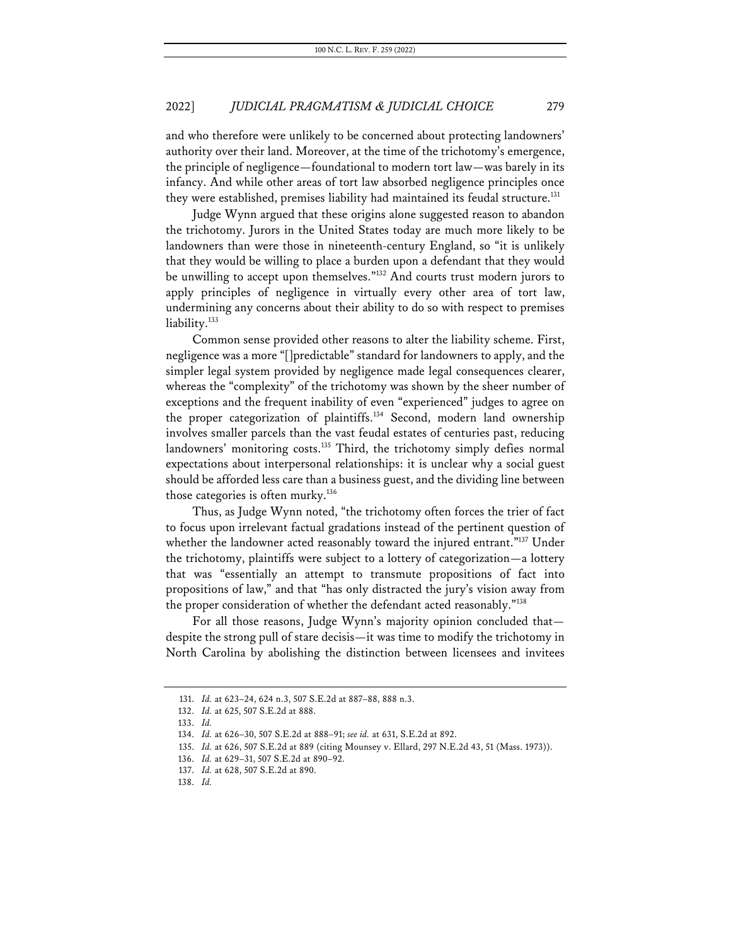and who therefore were unlikely to be concerned about protecting landowners' authority over their land. Moreover, at the time of the trichotomy's emergence, the principle of negligence—foundational to modern tort law—was barely in its infancy. And while other areas of tort law absorbed negligence principles once they were established, premises liability had maintained its feudal structure.<sup>131</sup>

Judge Wynn argued that these origins alone suggested reason to abandon the trichotomy. Jurors in the United States today are much more likely to be landowners than were those in nineteenth-century England, so "it is unlikely that they would be willing to place a burden upon a defendant that they would be unwilling to accept upon themselves."132 And courts trust modern jurors to apply principles of negligence in virtually every other area of tort law, undermining any concerns about their ability to do so with respect to premises liability.<sup>133</sup>

Common sense provided other reasons to alter the liability scheme. First, negligence was a more "[]predictable" standard for landowners to apply, and the simpler legal system provided by negligence made legal consequences clearer, whereas the "complexity" of the trichotomy was shown by the sheer number of exceptions and the frequent inability of even "experienced" judges to agree on the proper categorization of plaintiffs.<sup>134</sup> Second, modern land ownership involves smaller parcels than the vast feudal estates of centuries past, reducing landowners' monitoring costs.<sup>135</sup> Third, the trichotomy simply defies normal expectations about interpersonal relationships: it is unclear why a social guest should be afforded less care than a business guest, and the dividing line between those categories is often murky.<sup>136</sup>

Thus, as Judge Wynn noted, "the trichotomy often forces the trier of fact to focus upon irrelevant factual gradations instead of the pertinent question of whether the landowner acted reasonably toward the injured entrant."<sup>137</sup> Under the trichotomy, plaintiffs were subject to a lottery of categorization—a lottery that was "essentially an attempt to transmute propositions of fact into propositions of law," and that "has only distracted the jury's vision away from the proper consideration of whether the defendant acted reasonably."<sup>138</sup>

For all those reasons, Judge Wynn's majority opinion concluded that despite the strong pull of stare decisis—it was time to modify the trichotomy in North Carolina by abolishing the distinction between licensees and invitees

<sup>131.</sup> *Id.* at 623–24, 624 n.3, 507 S.E.2d at 887–88, 888 n.3.

<sup>132.</sup> *Id.* at 625, 507 S.E.2d at 888.

<sup>133.</sup> *Id.*

<sup>134.</sup> *Id.* at 626–30, 507 S.E.2d at 888–91; *see id.* at 631, S.E.2d at 892.

<sup>135.</sup> *Id.* at 626, 507 S.E.2d at 889 (citing Mounsey v. Ellard, 297 N.E.2d 43, 51 (Mass. 1973)).

<sup>136.</sup> *Id.* at 629–31, 507 S.E.2d at 890–92.

<sup>137.</sup> *Id.* at 628, 507 S.E.2d at 890.

<sup>138.</sup> *Id.*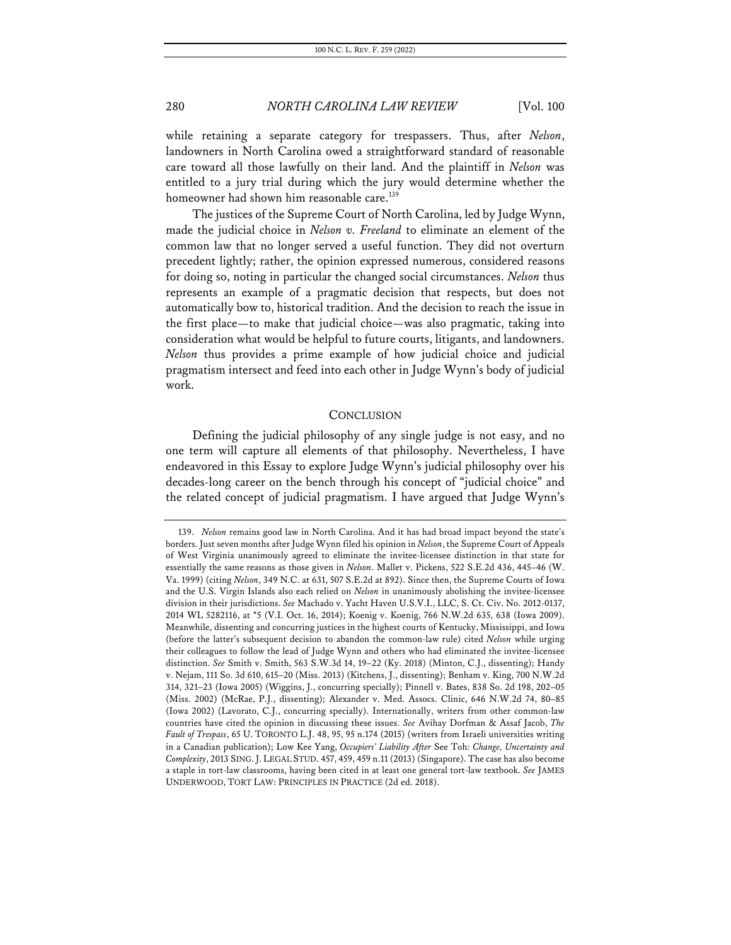while retaining a separate category for trespassers. Thus, after *Nelson*, landowners in North Carolina owed a straightforward standard of reasonable care toward all those lawfully on their land. And the plaintiff in *Nelson* was entitled to a jury trial during which the jury would determine whether the homeowner had shown him reasonable care.<sup>139</sup>

The justices of the Supreme Court of North Carolina, led by Judge Wynn, made the judicial choice in *Nelson v. Freeland* to eliminate an element of the common law that no longer served a useful function. They did not overturn precedent lightly; rather, the opinion expressed numerous, considered reasons for doing so, noting in particular the changed social circumstances. *Nelson* thus represents an example of a pragmatic decision that respects, but does not automatically bow to, historical tradition. And the decision to reach the issue in the first place—to make that judicial choice—was also pragmatic, taking into consideration what would be helpful to future courts, litigants, and landowners. *Nelson* thus provides a prime example of how judicial choice and judicial pragmatism intersect and feed into each other in Judge Wynn's body of judicial work.

#### **CONCLUSION**

Defining the judicial philosophy of any single judge is not easy, and no one term will capture all elements of that philosophy. Nevertheless, I have endeavored in this Essay to explore Judge Wynn's judicial philosophy over his decades-long career on the bench through his concept of "judicial choice" and the related concept of judicial pragmatism. I have argued that Judge Wynn's

<sup>139.</sup> *Nelson* remains good law in North Carolina. And it has had broad impact beyond the state's borders. Just seven months after Judge Wynn filed his opinion in *Nelson*, the Supreme Court of Appeals of West Virginia unanimously agreed to eliminate the invitee-licensee distinction in that state for essentially the same reasons as those given in *Nelson*. Mallet v. Pickens, 522 S.E.2d 436, 445–46 (W. Va. 1999) (citing *Nelson*, 349 N.C. at 631, 507 S.E.2d at 892). Since then, the Supreme Courts of Iowa and the U.S. Virgin Islands also each relied on *Nelson* in unanimously abolishing the invitee-licensee division in their jurisdictions. *See* Machado v. Yacht Haven U.S.V.I., LLC, S. Ct. Civ. No. 2012-0137, 2014 WL 5282116, at \*5 (V.I. Oct. 16, 2014); Koenig v. Koenig, 766 N.W.2d 635, 638 (Iowa 2009). Meanwhile, dissenting and concurring justices in the highest courts of Kentucky, Mississippi, and Iowa (before the latter's subsequent decision to abandon the common-law rule) cited *Nelson* while urging their colleagues to follow the lead of Judge Wynn and others who had eliminated the invitee-licensee distinction. *See* Smith v. Smith, 563 S.W.3d 14, 19–22 (Ky. 2018) (Minton, C.J., dissenting); Handy v. Nejam, 111 So. 3d 610, 615–20 (Miss. 2013) (Kitchens, J., dissenting); Benham v. King, 700 N.W.2d 314, 321–23 (Iowa 2005) (Wiggins, J., concurring specially); Pinnell v. Bates, 838 So. 2d 198, 202–05 (Miss. 2002) (McRae, P.J., dissenting); Alexander v. Med. Assocs. Clinic, 646 N.W.2d 74, 80–85 (Iowa 2002) (Lavorato, C.J., concurring specially). Internationally, writers from other common-law countries have cited the opinion in discussing these issues. *See* Avihay Dorfman & Assaf Jacob, *The Fault of Trespass*, 65 U. TORONTO L.J. 48, 95, 95 n.174 (2015) (writers from Israeli universities writing in a Canadian publication); Low Kee Yang, *Occupiers' Liability After* See Toh*: Change, Uncertainty and Complexity*, 2013 SING.J. LEGAL STUD. 457, 459, 459 n.11 (2013) (Singapore). The case has also become a staple in tort-law classrooms, having been cited in at least one general tort-law textbook. *See* JAMES UNDERWOOD, TORT LAW: PRINCIPLES IN PRACTICE (2d ed. 2018).